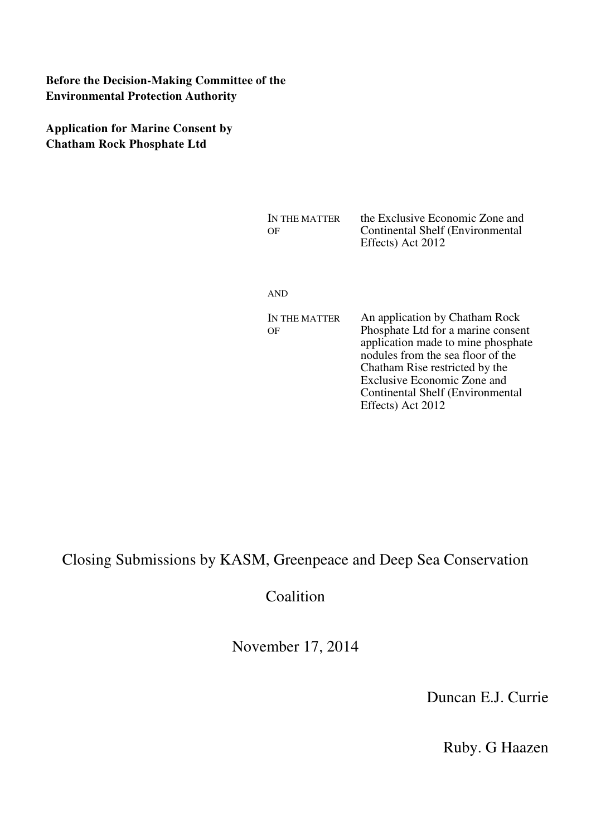## **Before the Decision-Making Committee of the Environmental Protection Authority**

**Application for Marine Consent by Chatham Rock Phosphate Ltd** 

| IN THE MATTER | the Exclusive Economic Zone and  |
|---------------|----------------------------------|
| OΕ            | Continental Shelf (Environmental |
|               | Effects) Act 2012                |

AND

IN THE MATTER OF An application by Chatham Rock Phosphate Ltd for a marine consent application made to mine phosphate nodules from the sea floor of the Chatham Rise restricted by the Exclusive Economic Zone and Continental Shelf (Environmental Effects) Act 2012

Closing Submissions by KASM, Greenpeace and Deep Sea Conservation

Coalition

November 17, 2014

Duncan E.J. Currie

Ruby. G Haazen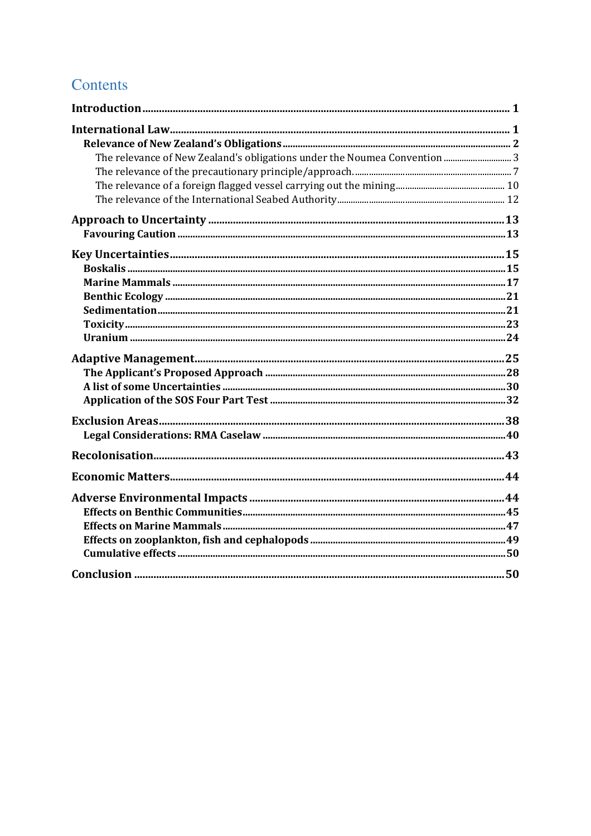# Contents

| The relevance of New Zealand's obligations under the Noumea Convention  3 |  |
|---------------------------------------------------------------------------|--|
|                                                                           |  |
|                                                                           |  |
|                                                                           |  |
|                                                                           |  |
|                                                                           |  |
|                                                                           |  |
|                                                                           |  |
|                                                                           |  |
|                                                                           |  |
|                                                                           |  |
|                                                                           |  |
|                                                                           |  |
|                                                                           |  |
|                                                                           |  |
|                                                                           |  |
|                                                                           |  |
|                                                                           |  |
|                                                                           |  |
|                                                                           |  |
|                                                                           |  |
|                                                                           |  |
|                                                                           |  |
|                                                                           |  |
|                                                                           |  |
|                                                                           |  |
|                                                                           |  |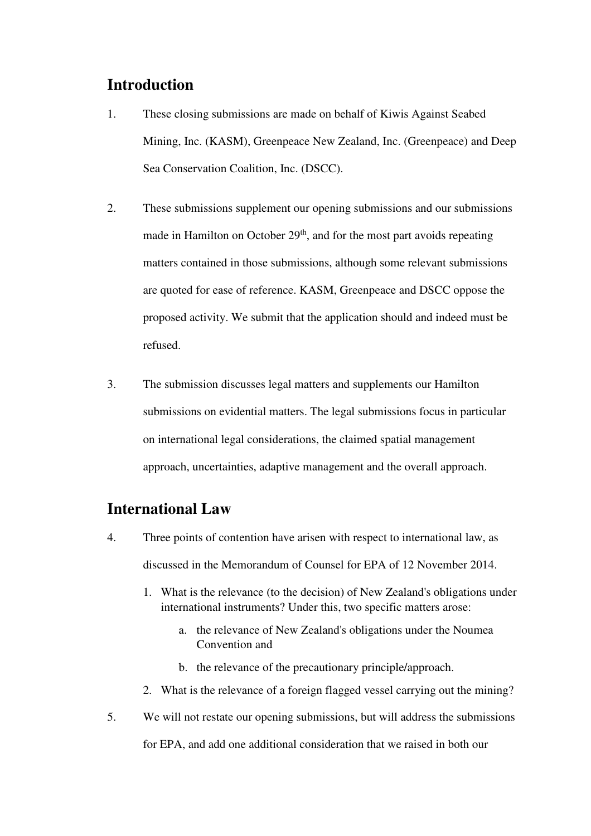## **Introduction**

- 1. These closing submissions are made on behalf of Kiwis Against Seabed Mining, Inc. (KASM), Greenpeace New Zealand, Inc. (Greenpeace) and Deep Sea Conservation Coalition, Inc. (DSCC).
- 2. These submissions supplement our opening submissions and our submissions made in Hamilton on October  $29<sup>th</sup>$ , and for the most part avoids repeating matters contained in those submissions, although some relevant submissions are quoted for ease of reference. KASM, Greenpeace and DSCC oppose the proposed activity. We submit that the application should and indeed must be refused.
- 3. The submission discusses legal matters and supplements our Hamilton submissions on evidential matters. The legal submissions focus in particular on international legal considerations, the claimed spatial management approach, uncertainties, adaptive management and the overall approach.

## **International Law**

- 4. Three points of contention have arisen with respect to international law, as discussed in the Memorandum of Counsel for EPA of 12 November 2014.
	- 1. What is the relevance (to the decision) of New Zealand's obligations under international instruments? Under this, two specific matters arose:
		- a. the relevance of New Zealand's obligations under the Noumea Convention and
		- b. the relevance of the precautionary principle/approach.
	- 2. What is the relevance of a foreign flagged vessel carrying out the mining?
- 5. We will not restate our opening submissions, but will address the submissions for EPA, and add one additional consideration that we raised in both our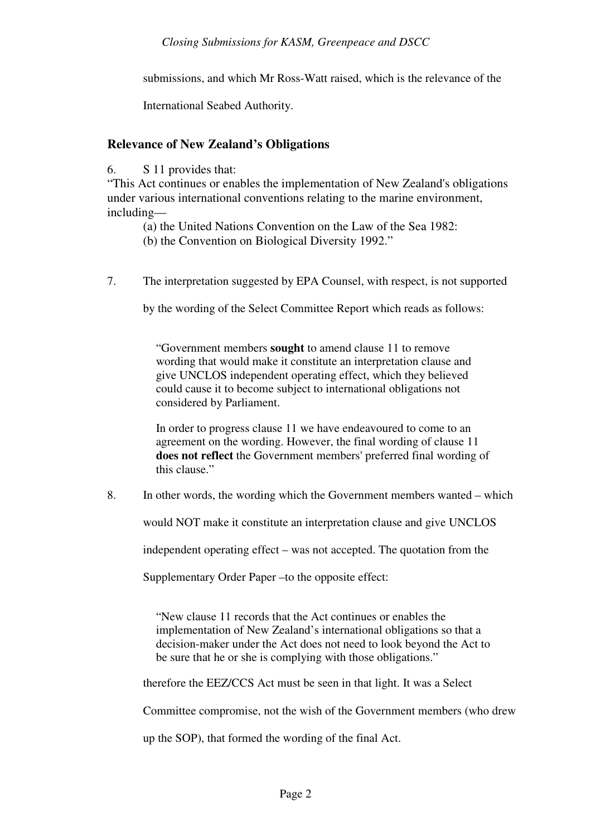submissions, and which Mr Ross-Watt raised, which is the relevance of the

International Seabed Authority.

## **Relevance of New Zealand's Obligations**

6. S 11 provides that:

"This Act continues or enables the implementation of New Zealand's obligations under various international conventions relating to the marine environment, including—

(a) the United Nations Convention on the Law of the Sea 1982:

(b) the Convention on Biological Diversity 1992."

7. The interpretation suggested by EPA Counsel, with respect, is not supported

by the wording of the Select Committee Report which reads as follows:

"Government members **sought** to amend clause 11 to remove wording that would make it constitute an interpretation clause and give UNCLOS independent operating effect, which they believed could cause it to become subject to international obligations not considered by Parliament.

In order to progress clause 11 we have endeavoured to come to an agreement on the wording. However, the final wording of clause 11 **does not reflect** the Government members' preferred final wording of this clause."

8. In other words, the wording which the Government members wanted – which

would NOT make it constitute an interpretation clause and give UNCLOS

independent operating effect – was not accepted. The quotation from the

Supplementary Order Paper –to the opposite effect:

"New clause 11 records that the Act continues or enables the implementation of New Zealand's international obligations so that a decision-maker under the Act does not need to look beyond the Act to be sure that he or she is complying with those obligations."

therefore the EEZ/CCS Act must be seen in that light. It was a Select

Committee compromise, not the wish of the Government members (who drew

up the SOP), that formed the wording of the final Act.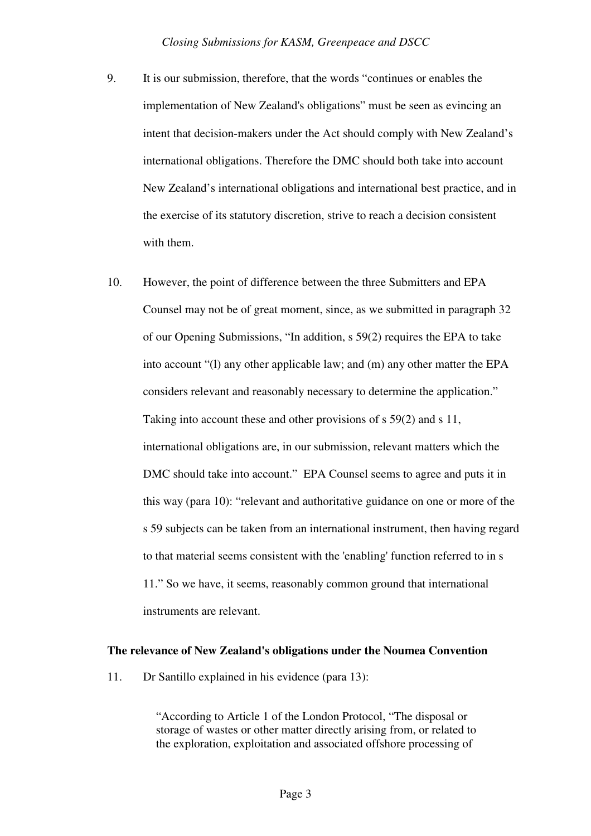- 9. It is our submission, therefore, that the words "continues or enables the implementation of New Zealand's obligations" must be seen as evincing an intent that decision-makers under the Act should comply with New Zealand's international obligations. Therefore the DMC should both take into account New Zealand's international obligations and international best practice, and in the exercise of its statutory discretion, strive to reach a decision consistent with them.
- 10. However, the point of difference between the three Submitters and EPA Counsel may not be of great moment, since, as we submitted in paragraph 32 of our Opening Submissions, "In addition, s 59(2) requires the EPA to take into account "(l) any other applicable law; and (m) any other matter the EPA considers relevant and reasonably necessary to determine the application." Taking into account these and other provisions of s 59(2) and s 11, international obligations are, in our submission, relevant matters which the DMC should take into account." EPA Counsel seems to agree and puts it in this way (para 10): "relevant and authoritative guidance on one or more of the s 59 subjects can be taken from an international instrument, then having regard to that material seems consistent with the 'enabling' function referred to in s 11." So we have, it seems, reasonably common ground that international instruments are relevant.

#### **The relevance of New Zealand's obligations under the Noumea Convention**

11. Dr Santillo explained in his evidence (para 13):

"According to Article 1 of the London Protocol, "The disposal or storage of wastes or other matter directly arising from, or related to the exploration, exploitation and associated offshore processing of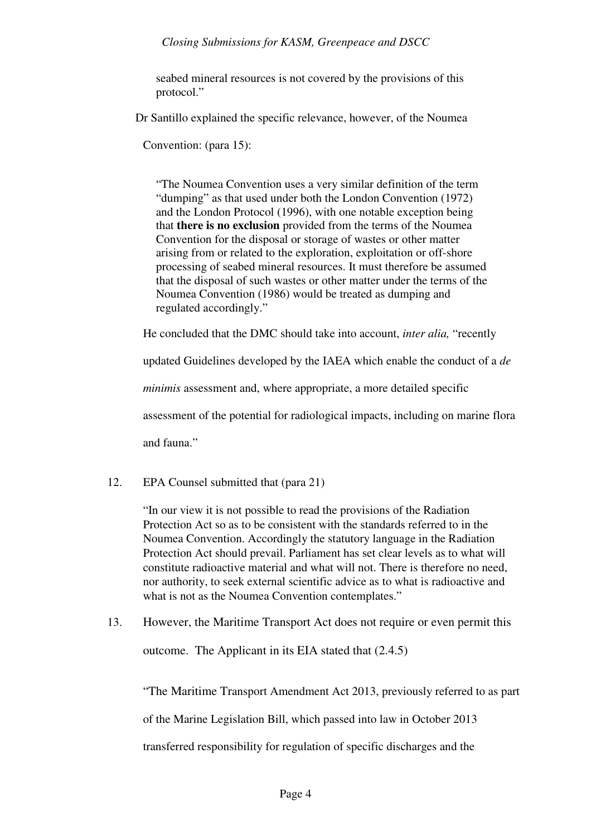seabed mineral resources is not covered by the provisions of this protocol."

Dr Santillo explained the specific relevance, however, of the Noumea

Convention: (para 15):

"The Noumea Convention uses a very similar definition of the term "dumping" as that used under both the London Convention (1972) and the London Protocol (1996), with one notable exception being that **there is no exclusion** provided from the terms of the Noumea Convention for the disposal or storage of wastes or other matter arising from or related to the exploration, exploitation or off-shore processing of seabed mineral resources. It must therefore be assumed that the disposal of such wastes or other matter under the terms of the Noumea Convention (1986) would be treated as dumping and regulated accordingly."

He concluded that the DMC should take into account, *inter alia,* "recently

updated Guidelines developed by the IAEA which enable the conduct of a *de* 

*minimis* assessment and, where appropriate, a more detailed specific

assessment of the potential for radiological impacts, including on marine flora

and fauna."

12. EPA Counsel submitted that (para 21)

"In our view it is not possible to read the provisions of the Radiation Protection Act so as to be consistent with the standards referred to in the Noumea Convention. Accordingly the statutory language in the Radiation Protection Act should prevail. Parliament has set clear levels as to what will constitute radioactive material and what will not. There is therefore no need, nor authority, to seek external scientific advice as to what is radioactive and what is not as the Noumea Convention contemplates."

13. However, the Maritime Transport Act does not require or even permit this

outcome. The Applicant in its EIA stated that (2.4.5)

"The Maritime Transport Amendment Act 2013, previously referred to as part

of the Marine Legislation Bill, which passed into law in October 2013

transferred responsibility for regulation of specific discharges and the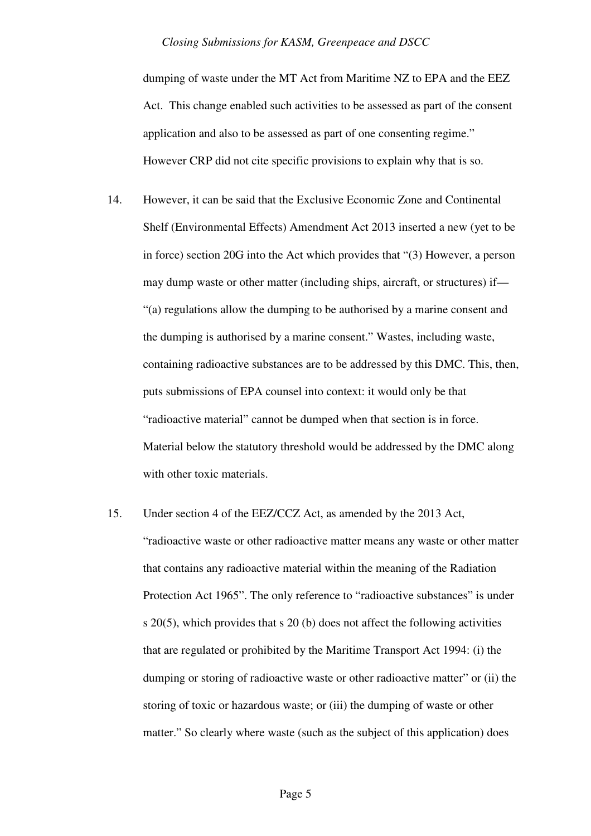dumping of waste under the MT Act from Maritime NZ to EPA and the EEZ Act. This change enabled such activities to be assessed as part of the consent application and also to be assessed as part of one consenting regime." However CRP did not cite specific provisions to explain why that is so.

- 14. However, it can be said that the Exclusive Economic Zone and Continental Shelf (Environmental Effects) Amendment Act 2013 inserted a new (yet to be in force) section 20G into the Act which provides that "(3) However, a person may dump waste or other matter (including ships, aircraft, or structures) if— "(a) regulations allow the dumping to be authorised by a marine consent and the dumping is authorised by a marine consent." Wastes, including waste, containing radioactive substances are to be addressed by this DMC. This, then, puts submissions of EPA counsel into context: it would only be that "radioactive material" cannot be dumped when that section is in force. Material below the statutory threshold would be addressed by the DMC along with other toxic materials.
- 15. Under section 4 of the EEZ/CCZ Act, as amended by the 2013 Act, "radioactive waste or other radioactive matter means any waste or other matter that contains any radioactive material within the meaning of the Radiation Protection Act 1965". The only reference to "radioactive substances" is under s 20(5), which provides that s 20 (b) does not affect the following activities that are regulated or prohibited by the Maritime Transport Act 1994: (i) the dumping or storing of radioactive waste or other radioactive matter" or (ii) the storing of toxic or hazardous waste; or (iii) the dumping of waste or other matter." So clearly where waste (such as the subject of this application) does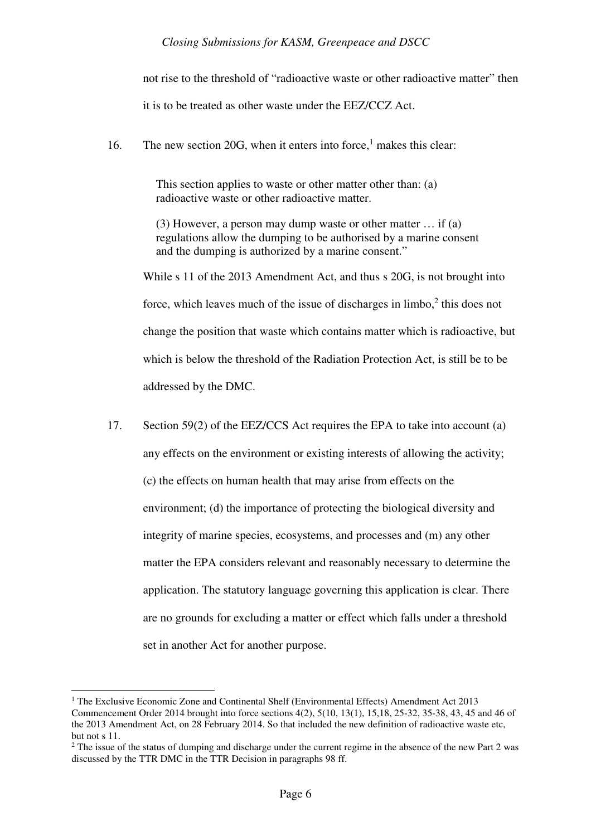not rise to the threshold of "radioactive waste or other radioactive matter" then it is to be treated as other waste under the EEZ/CCZ Act.

16. The new section 20G, when it enters into force,<sup>1</sup> makes this clear:

This section applies to waste or other matter other than: (a) radioactive waste or other radioactive matter.

(3) However, a person may dump waste or other matter … if (a) regulations allow the dumping to be authorised by a marine consent and the dumping is authorized by a marine consent."

While s 11 of the 2013 Amendment Act, and thus s 20G, is not brought into force, which leaves much of the issue of discharges in  $limbo$ , $2$  this does not change the position that waste which contains matter which is radioactive, but which is below the threshold of the Radiation Protection Act, is still be to be addressed by the DMC.

17. Section 59(2) of the EEZ/CCS Act requires the EPA to take into account (a) any effects on the environment or existing interests of allowing the activity; (c) the effects on human health that may arise from effects on the environment; (d) the importance of protecting the biological diversity and integrity of marine species, ecosystems, and processes and (m) any other matter the EPA considers relevant and reasonably necessary to determine the application. The statutory language governing this application is clear. There are no grounds for excluding a matter or effect which falls under a threshold set in another Act for another purpose.

<sup>&</sup>lt;sup>1</sup> The Exclusive Economic Zone and Continental Shelf (Environmental Effects) Amendment Act 2013 Commencement Order 2014 brought into force sections 4(2), 5(10, 13(1), 15,18, 25-32, 35-38, 43, 45 and 46 of the 2013 Amendment Act, on 28 February 2014. So that included the new definition of radioactive waste etc, but not s 11.

 $2^2$  The issue of the status of dumping and discharge under the current regime in the absence of the new Part 2 was discussed by the TTR DMC in the TTR Decision in paragraphs 98 ff.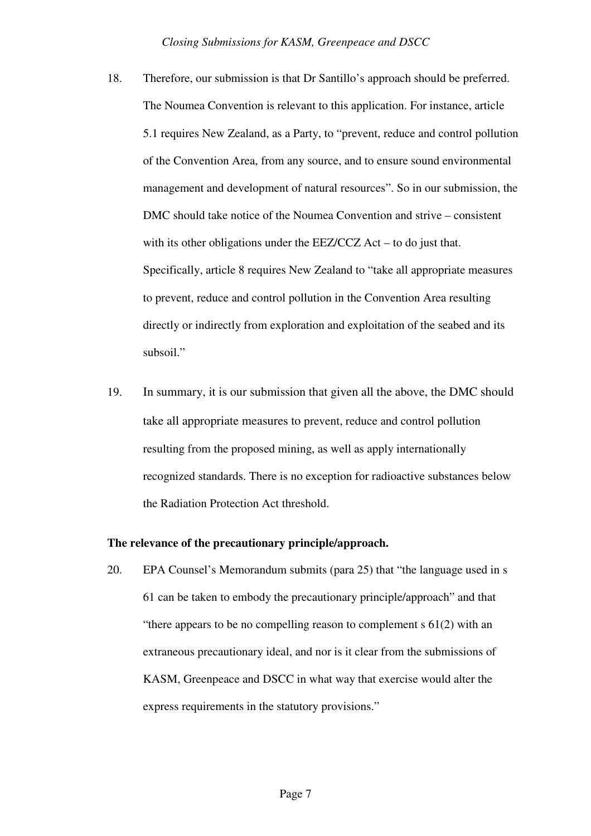- 18. Therefore, our submission is that Dr Santillo's approach should be preferred. The Noumea Convention is relevant to this application. For instance, article 5.1 requires New Zealand, as a Party, to "prevent, reduce and control pollution of the Convention Area, from any source, and to ensure sound environmental management and development of natural resources". So in our submission, the DMC should take notice of the Noumea Convention and strive – consistent with its other obligations under the EEZ/CCZ Act – to do just that. Specifically, article 8 requires New Zealand to "take all appropriate measures to prevent, reduce and control pollution in the Convention Area resulting directly or indirectly from exploration and exploitation of the seabed and its subsoil."
- 19. In summary, it is our submission that given all the above, the DMC should take all appropriate measures to prevent, reduce and control pollution resulting from the proposed mining, as well as apply internationally recognized standards. There is no exception for radioactive substances below the Radiation Protection Act threshold.

### **The relevance of the precautionary principle/approach.**

20. EPA Counsel's Memorandum submits (para 25) that "the language used in s 61 can be taken to embody the precautionary principle/approach" and that "there appears to be no compelling reason to complement  $s \, 61(2)$  with an extraneous precautionary ideal, and nor is it clear from the submissions of KASM, Greenpeace and DSCC in what way that exercise would alter the express requirements in the statutory provisions."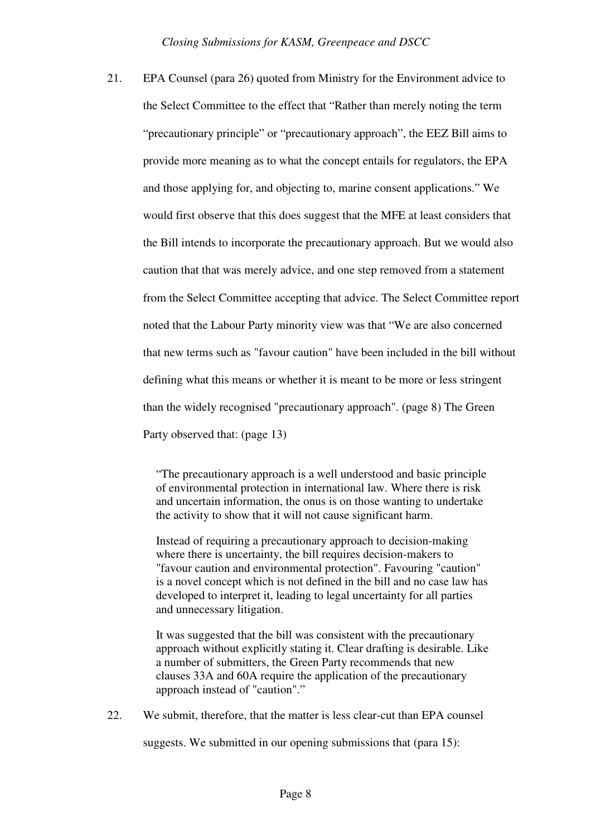21. EPA Counsel (para 26) quoted from Ministry for the Environment advice to the Select Committee to the effect that "Rather than merely noting the term "precautionary principle" or "precautionary approach", the EEZ Bill aims to provide more meaning as to what the concept entails for regulators, the EPA and those applying for, and objecting to, marine consent applications." We would first observe that this does suggest that the MFE at least considers that the Bill intends to incorporate the precautionary approach. But we would also caution that that was merely advice, and one step removed from a statement from the Select Committee accepting that advice. The Select Committee report noted that the Labour Party minority view was that "We are also concerned that new terms such as "favour caution" have been included in the bill without defining what this means or whether it is meant to be more or less stringent than the widely recognised "precautionary approach". (page 8) The Green Party observed that: (page 13)

> "The precautionary approach is a well understood and basic principle of environmental protection in international law. Where there is risk and uncertain information, the onus is on those wanting to undertake the activity to show that it will not cause significant harm.

> Instead of requiring a precautionary approach to decision-making where there is uncertainty, the bill requires decision-makers to "favour caution and environmental protection". Favouring "caution" is a novel concept which is not defined in the bill and no case law has developed to interpret it, leading to legal uncertainty for all parties and unnecessary litigation.

> It was suggested that the bill was consistent with the precautionary approach without explicitly stating it. Clear drafting is desirable. Like a number of submitters, the Green Party recommends that new clauses 33A and 60A require the application of the precautionary approach instead of "caution"."

22. We submit, therefore, that the matter is less clear-cut than EPA counsel

suggests. We submitted in our opening submissions that (para 15):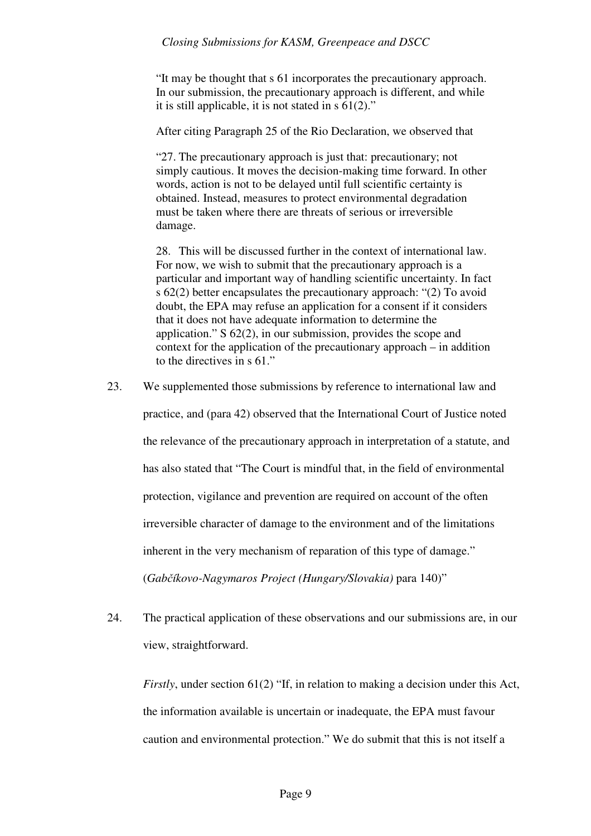"It may be thought that s 61 incorporates the precautionary approach. In our submission, the precautionary approach is different, and while it is still applicable, it is not stated in s 61(2)."

After citing Paragraph 25 of the Rio Declaration, we observed that

"27. The precautionary approach is just that: precautionary; not simply cautious. It moves the decision-making time forward. In other words, action is not to be delayed until full scientific certainty is obtained. Instead, measures to protect environmental degradation must be taken where there are threats of serious or irreversible damage.

28. This will be discussed further in the context of international law. For now, we wish to submit that the precautionary approach is a particular and important way of handling scientific uncertainty. In fact s 62(2) better encapsulates the precautionary approach: "(2) To avoid doubt, the EPA may refuse an application for a consent if it considers that it does not have adequate information to determine the application." S 62(2), in our submission, provides the scope and context for the application of the precautionary approach – in addition to the directives in s 61."

- 23. We supplemented those submissions by reference to international law and practice, and (para 42) observed that the International Court of Justice noted the relevance of the precautionary approach in interpretation of a statute, and has also stated that "The Court is mindful that, in the field of environmental protection, vigilance and prevention are required on account of the often irreversible character of damage to the environment and of the limitations inherent in the very mechanism of reparation of this type of damage." (*Gabčíkovo-Nagymaros Project (Hungary/Slovakia)* para 140)"
- 24. The practical application of these observations and our submissions are, in our view, straightforward.

*Firstly*, under section 61(2) "If, in relation to making a decision under this Act, the information available is uncertain or inadequate, the EPA must favour caution and environmental protection." We do submit that this is not itself a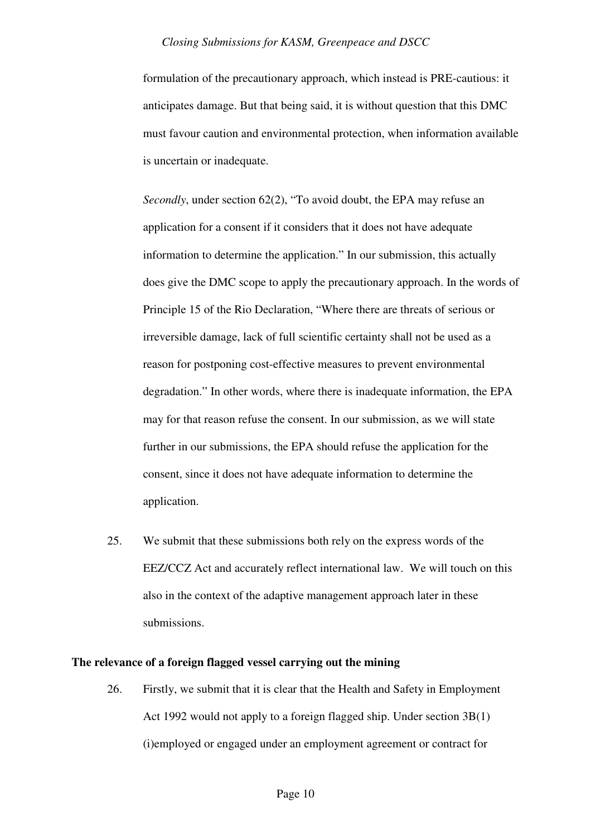formulation of the precautionary approach, which instead is PRE-cautious: it anticipates damage. But that being said, it is without question that this DMC must favour caution and environmental protection, when information available is uncertain or inadequate.

*Secondly*, under section 62(2), "To avoid doubt, the EPA may refuse an application for a consent if it considers that it does not have adequate information to determine the application." In our submission, this actually does give the DMC scope to apply the precautionary approach. In the words of Principle 15 of the Rio Declaration, "Where there are threats of serious or irreversible damage, lack of full scientific certainty shall not be used as a reason for postponing cost-effective measures to prevent environmental degradation." In other words, where there is inadequate information, the EPA may for that reason refuse the consent. In our submission, as we will state further in our submissions, the EPA should refuse the application for the consent, since it does not have adequate information to determine the application.

25. We submit that these submissions both rely on the express words of the EEZ/CCZ Act and accurately reflect international law. We will touch on this also in the context of the adaptive management approach later in these submissions.

## **The relevance of a foreign flagged vessel carrying out the mining**

26. Firstly, we submit that it is clear that the Health and Safety in Employment Act 1992 would not apply to a foreign flagged ship. Under section 3B(1) (i)employed or engaged under an employment agreement or contract for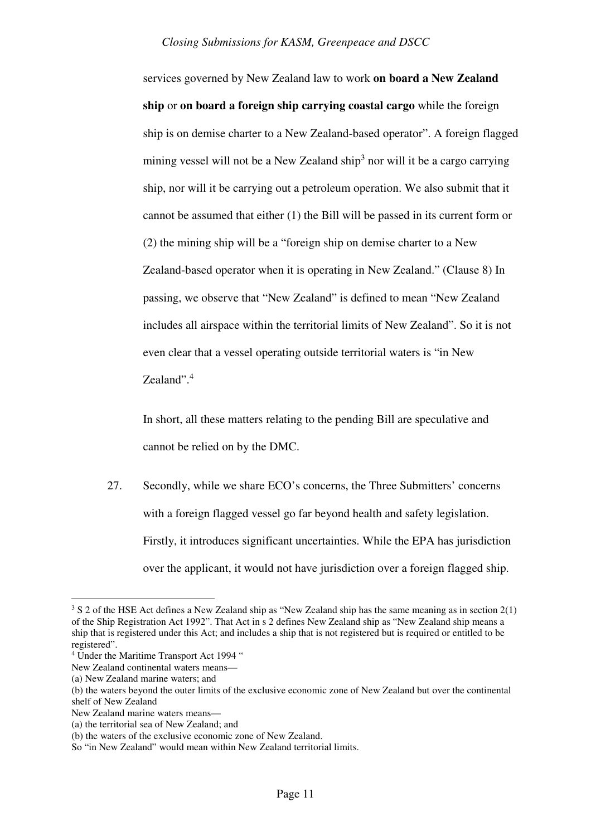services governed by New Zealand law to work **on board a New Zealand ship** or **on board a foreign ship carrying coastal cargo** while the foreign ship is on demise charter to a New Zealand-based operator". A foreign flagged mining vessel will not be a New Zealand ship<sup>3</sup> nor will it be a cargo carrying ship, nor will it be carrying out a petroleum operation. We also submit that it cannot be assumed that either (1) the Bill will be passed in its current form or (2) the mining ship will be a "foreign ship on demise charter to a New Zealand-based operator when it is operating in New Zealand." (Clause 8) In passing, we observe that "New Zealand" is defined to mean "New Zealand includes all airspace within the territorial limits of New Zealand". So it is not even clear that a vessel operating outside territorial waters is "in New Zealand".<sup>4</sup>

In short, all these matters relating to the pending Bill are speculative and cannot be relied on by the DMC.

27. Secondly, while we share ECO's concerns, the Three Submitters' concerns with a foreign flagged vessel go far beyond health and safety legislation. Firstly, it introduces significant uncertainties. While the EPA has jurisdiction over the applicant, it would not have jurisdiction over a foreign flagged ship.

 $3 S 2$  of the HSE Act defines a New Zealand ship as "New Zealand ship has the same meaning as in section  $2(1)$ of the Ship Registration Act 1992". That Act in s 2 defines New Zealand ship as "New Zealand ship means a ship that is registered under this Act; and includes a ship that is not registered but is required or entitled to be registered".

<sup>&</sup>lt;sup>4</sup> Under the Maritime Transport Act 1994 "

New Zealand continental waters means—

<sup>(</sup>a) New Zealand marine waters; and

<sup>(</sup>b) the waters beyond the outer limits of the exclusive economic zone of New Zealand but over the continental shelf of New Zealand

New Zealand marine waters means—

<sup>(</sup>a) the territorial sea of New Zealand; and

<sup>(</sup>b) the waters of the exclusive economic zone of New Zealand.

So "in New Zealand" would mean within New Zealand territorial limits.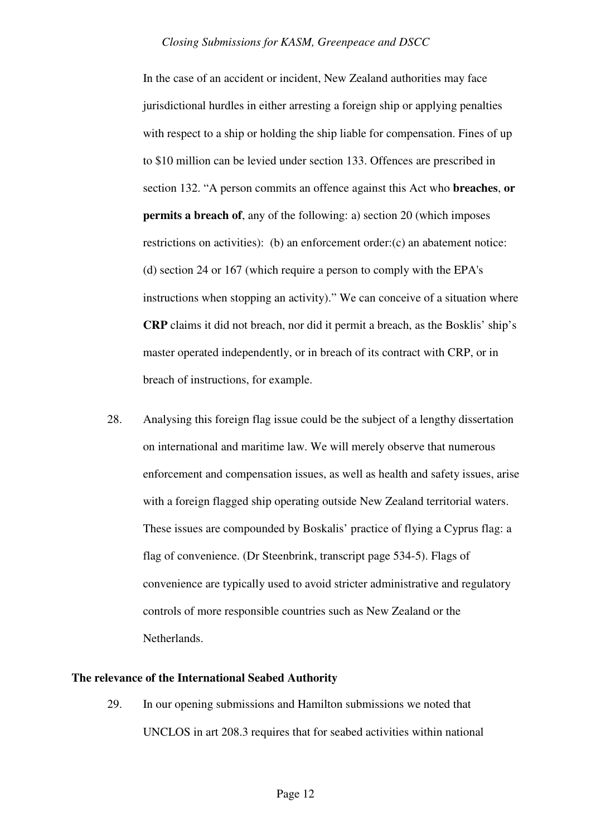In the case of an accident or incident, New Zealand authorities may face jurisdictional hurdles in either arresting a foreign ship or applying penalties with respect to a ship or holding the ship liable for compensation. Fines of up to \$10 million can be levied under section 133. Offences are prescribed in section 132. "A person commits an offence against this Act who **breaches**, **or permits a breach of**, any of the following: a) section 20 (which imposes restrictions on activities): (b) an enforcement order:(c) an abatement notice: (d) section 24 or 167 (which require a person to comply with the EPA's instructions when stopping an activity)." We can conceive of a situation where **CRP** claims it did not breach, nor did it permit a breach, as the Bosklis' ship's master operated independently, or in breach of its contract with CRP, or in breach of instructions, for example.

28. Analysing this foreign flag issue could be the subject of a lengthy dissertation on international and maritime law. We will merely observe that numerous enforcement and compensation issues, as well as health and safety issues, arise with a foreign flagged ship operating outside New Zealand territorial waters. These issues are compounded by Boskalis' practice of flying a Cyprus flag: a flag of convenience. (Dr Steenbrink, transcript page 534-5). Flags of convenience are typically used to avoid stricter administrative and regulatory controls of more responsible countries such as New Zealand or the Netherlands.

## **The relevance of the International Seabed Authority**

29. In our opening submissions and Hamilton submissions we noted that UNCLOS in art 208.3 requires that for seabed activities within national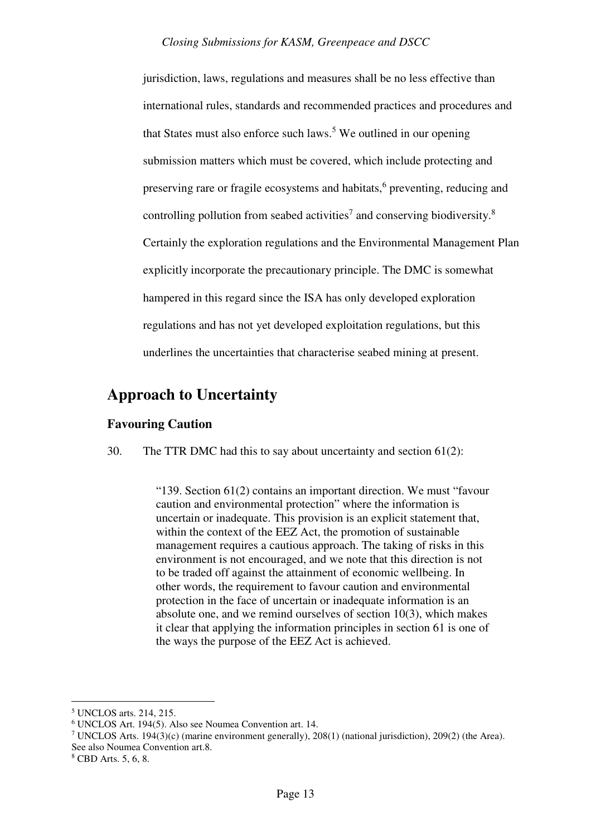jurisdiction, laws, regulations and measures shall be no less effective than international rules, standards and recommended practices and procedures and that States must also enforce such laws.<sup>5</sup> We outlined in our opening submission matters which must be covered, which include protecting and preserving rare or fragile ecosystems and habitats,<sup>6</sup> preventing, reducing and controlling pollution from seabed activities<sup>7</sup> and conserving biodiversity.<sup>8</sup> Certainly the exploration regulations and the Environmental Management Plan explicitly incorporate the precautionary principle. The DMC is somewhat hampered in this regard since the ISA has only developed exploration regulations and has not yet developed exploitation regulations, but this underlines the uncertainties that characterise seabed mining at present.

## **Approach to Uncertainty**

## **Favouring Caution**

30. The TTR DMC had this to say about uncertainty and section 61(2):

"139. Section 61(2) contains an important direction. We must "favour caution and environmental protection" where the information is uncertain or inadequate. This provision is an explicit statement that, within the context of the EEZ Act, the promotion of sustainable management requires a cautious approach. The taking of risks in this environment is not encouraged, and we note that this direction is not to be traded off against the attainment of economic wellbeing. In other words, the requirement to favour caution and environmental protection in the face of uncertain or inadequate information is an absolute one, and we remind ourselves of section 10(3), which makes it clear that applying the information principles in section 61 is one of the ways the purpose of the EEZ Act is achieved.

<sup>5</sup> UNCLOS arts. 214, 215.

<sup>6</sup> UNCLOS Art. 194(5). Also see Noumea Convention art. 14.

<sup>&</sup>lt;sup>7</sup> UNCLOS Arts. 194(3)(c) (marine environment generally), 208(1) (national jurisdiction), 209(2) (the Area). See also Noumea Convention art.8.

<sup>8</sup> CBD Arts. 5, 6, 8.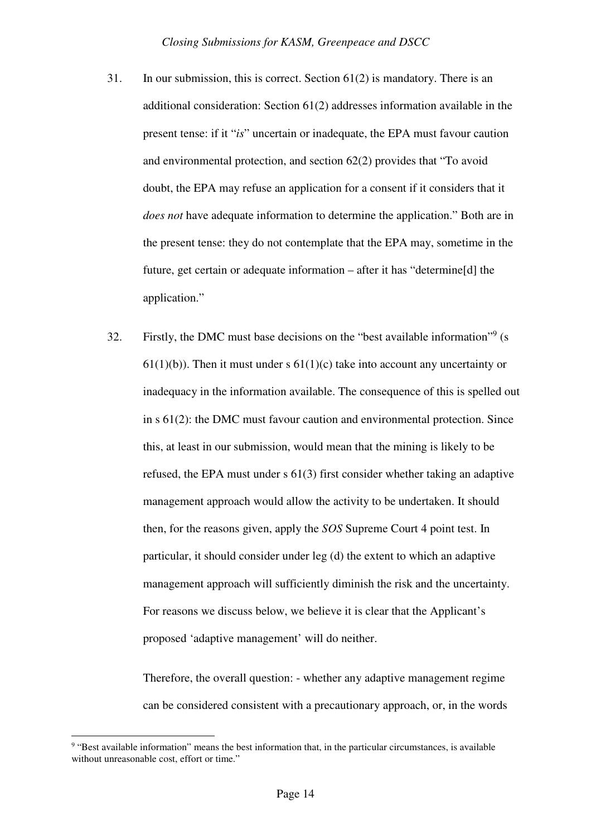- 31. In our submission, this is correct. Section  $61(2)$  is mandatory. There is an additional consideration: Section 61(2) addresses information available in the present tense: if it "*is*" uncertain or inadequate, the EPA must favour caution and environmental protection, and section 62(2) provides that "To avoid doubt, the EPA may refuse an application for a consent if it considers that it *does not* have adequate information to determine the application." Both are in the present tense: they do not contemplate that the EPA may, sometime in the future, get certain or adequate information – after it has "determine[d] the application."
- 32. Firstly, the DMC must base decisions on the "best available information"<sup>9</sup> (s  $61(1)(b)$ . Then it must under s  $61(1)(c)$  take into account any uncertainty or inadequacy in the information available. The consequence of this is spelled out in s 61(2): the DMC must favour caution and environmental protection. Since this, at least in our submission, would mean that the mining is likely to be refused, the EPA must under s 61(3) first consider whether taking an adaptive management approach would allow the activity to be undertaken. It should then, for the reasons given, apply the *SOS* Supreme Court 4 point test. In particular, it should consider under leg (d) the extent to which an adaptive management approach will sufficiently diminish the risk and the uncertainty. For reasons we discuss below, we believe it is clear that the Applicant's proposed 'adaptive management' will do neither.

Therefore, the overall question: - whether any adaptive management regime can be considered consistent with a precautionary approach, or, in the words

<sup>&</sup>lt;sup>9</sup> "Best available information" means the best information that, in the particular circumstances, is available without unreasonable cost, effort or time."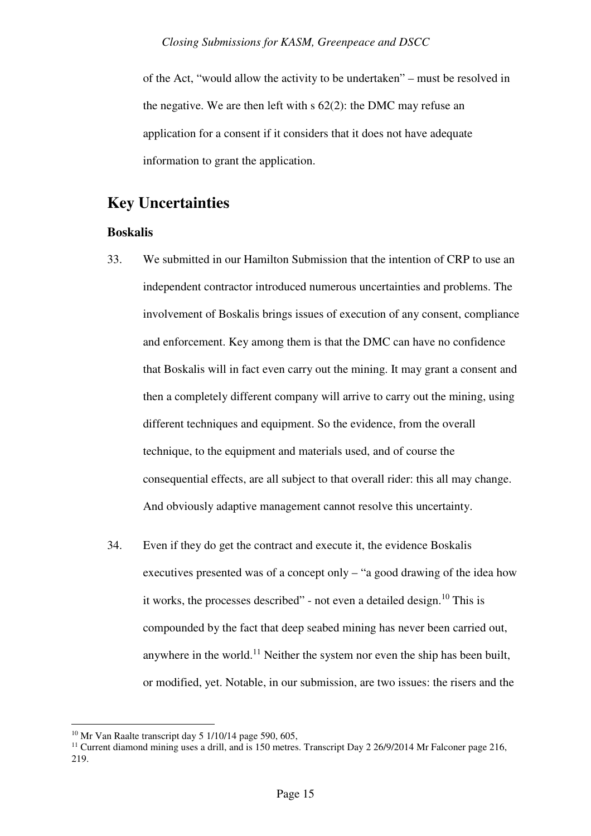of the Act, "would allow the activity to be undertaken" – must be resolved in the negative. We are then left with s 62(2): the DMC may refuse an application for a consent if it considers that it does not have adequate information to grant the application.

## **Key Uncertainties**

## **Boskalis**

- 33. We submitted in our Hamilton Submission that the intention of CRP to use an independent contractor introduced numerous uncertainties and problems. The involvement of Boskalis brings issues of execution of any consent, compliance and enforcement. Key among them is that the DMC can have no confidence that Boskalis will in fact even carry out the mining. It may grant a consent and then a completely different company will arrive to carry out the mining, using different techniques and equipment. So the evidence, from the overall technique, to the equipment and materials used, and of course the consequential effects, are all subject to that overall rider: this all may change. And obviously adaptive management cannot resolve this uncertainty.
- 34. Even if they do get the contract and execute it, the evidence Boskalis executives presented was of a concept only – "a good drawing of the idea how it works, the processes described" - not even a detailed design.<sup>10</sup> This is compounded by the fact that deep seabed mining has never been carried out, anywhere in the world.<sup>11</sup> Neither the system nor even the ship has been built, or modified, yet. Notable, in our submission, are two issues: the risers and the

 $10$  Mr Van Raalte transcript day 5 1/10/14 page 590, 605,

<sup>&</sup>lt;sup>11</sup> Current diamond mining uses a drill, and is 150 metres. Transcript Day 2 26/9/2014 Mr Falconer page 216, 219.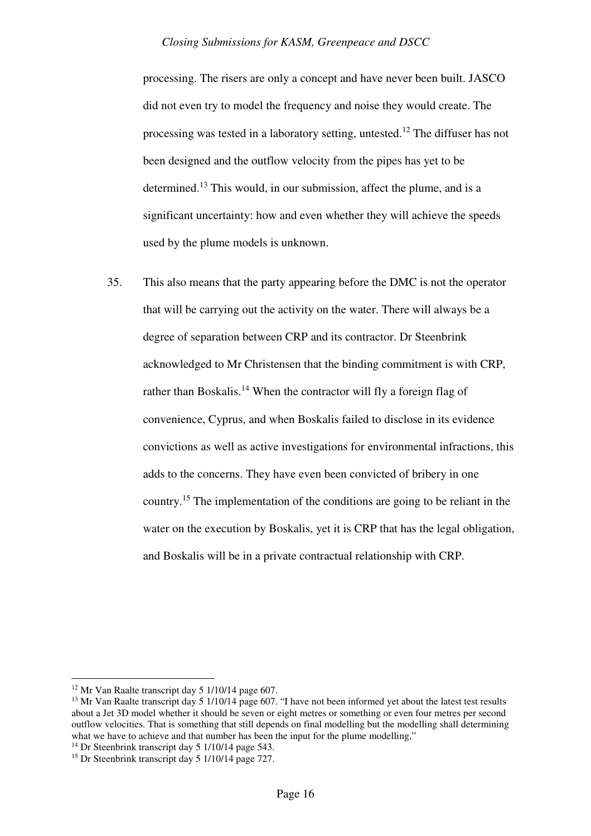processing. The risers are only a concept and have never been built. JASCO did not even try to model the frequency and noise they would create. The processing was tested in a laboratory setting, untested.<sup>12</sup> The diffuser has not been designed and the outflow velocity from the pipes has yet to be determined.<sup>13</sup> This would, in our submission, affect the plume, and is a significant uncertainty: how and even whether they will achieve the speeds used by the plume models is unknown.

35. This also means that the party appearing before the DMC is not the operator that will be carrying out the activity on the water. There will always be a degree of separation between CRP and its contractor. Dr Steenbrink acknowledged to Mr Christensen that the binding commitment is with CRP, rather than Boskalis.<sup>14</sup> When the contractor will fly a foreign flag of convenience, Cyprus, and when Boskalis failed to disclose in its evidence convictions as well as active investigations for environmental infractions, this adds to the concerns. They have even been convicted of bribery in one country.<sup>15</sup> The implementation of the conditions are going to be reliant in the water on the execution by Boskalis, yet it is CRP that has the legal obligation, and Boskalis will be in a private contractual relationship with CRP.

<sup>12</sup> Mr Van Raalte transcript day 5 1/10/14 page 607.

<sup>&</sup>lt;sup>13</sup> Mr Van Raalte transcript day 5 1/10/14 page 607. "I have not been informed yet about the latest test results about a Jet 3D model whether it should be seven or eight metres or something or even four metres per second outflow velocities. That is something that still depends on final modelling but the modelling shall determining what we have to achieve and that number has been the input for the plume modelling,"

<sup>&</sup>lt;sup>14</sup> Dr Steenbrink transcript day 5 1/10/14 page 543.

<sup>15</sup> Dr Steenbrink transcript day 5 1/10/14 page 727.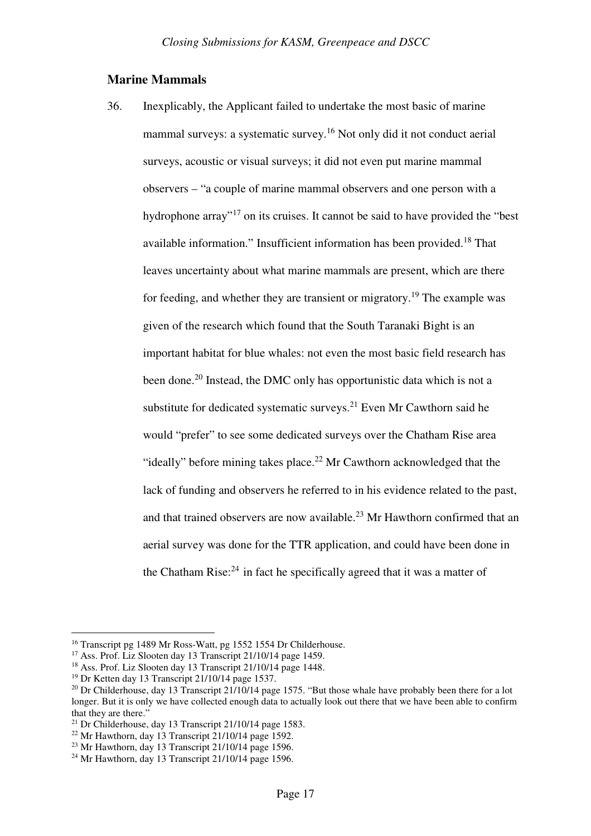### **Marine Mammals**

36. Inexplicably, the Applicant failed to undertake the most basic of marine mammal surveys: a systematic survey.<sup>16</sup> Not only did it not conduct aerial surveys, acoustic or visual surveys; it did not even put marine mammal observers – "a couple of marine mammal observers and one person with a hydrophone array"<sup>17</sup> on its cruises. It cannot be said to have provided the "best" available information." Insufficient information has been provided.<sup>18</sup> That leaves uncertainty about what marine mammals are present, which are there for feeding, and whether they are transient or migratory.<sup>19</sup> The example was given of the research which found that the South Taranaki Bight is an important habitat for blue whales: not even the most basic field research has been done.<sup>20</sup> Instead, the DMC only has opportunistic data which is not a substitute for dedicated systematic surveys.<sup>21</sup> Even Mr Cawthorn said he would "prefer" to see some dedicated surveys over the Chatham Rise area "ideally" before mining takes place.<sup>22</sup> Mr Cawthorn acknowledged that the lack of funding and observers he referred to in his evidence related to the past, and that trained observers are now available.<sup>23</sup> Mr Hawthorn confirmed that an aerial survey was done for the TTR application, and could have been done in the Chatham Rise: $24$  in fact he specifically agreed that it was a matter of

<sup>16</sup> Transcript pg 1489 Mr Ross-Watt, pg 1552 1554 Dr Childerhouse.

<sup>&</sup>lt;sup>17</sup> Ass. Prof. Liz Slooten day 13 Transcript 21/10/14 page 1459.

<sup>&</sup>lt;sup>18</sup> Ass. Prof. Liz Slooten day 13 Transcript 21/10/14 page 1448.

<sup>19</sup> Dr Ketten day 13 Transcript 21/10/14 page 1537.

<sup>&</sup>lt;sup>20</sup> Dr Childerhouse, day 13 Transcript  $21/10/14$  page 1575. "But those whale have probably been there for a lot longer. But it is only we have collected enough data to actually look out there that we have been able to confirm that they are there.'

<sup>&</sup>lt;sup>21</sup> Dr Childerhouse, day 13 Transcript  $21/10/14$  page 1583.

 $22$  Mr Hawthorn, day 13 Transcript  $21/10/14$  page 1592.

 $23$  Mr Hawthorn, day 13 Transcript 21/10/14 page 1596.

 $24$  Mr Hawthorn, day 13 Transcript 21/10/14 page 1596.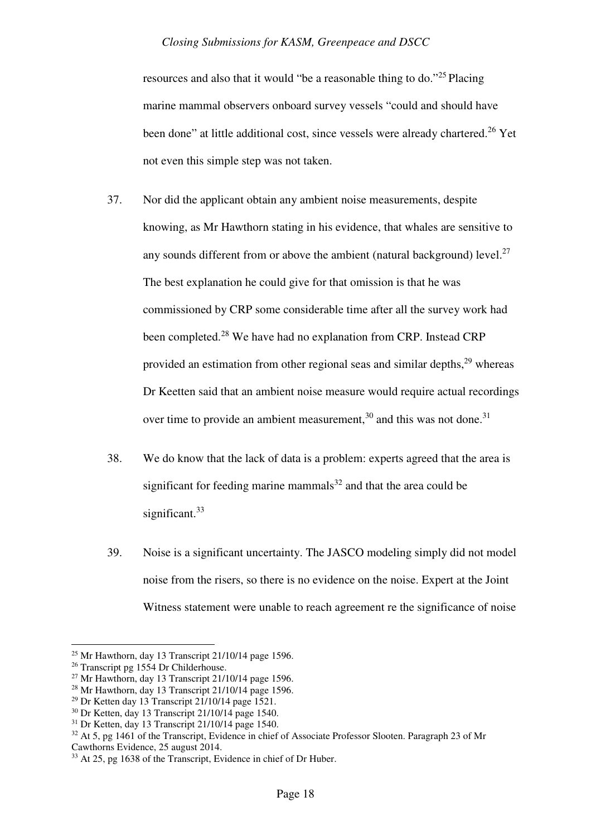resources and also that it would "be a reasonable thing to do." $25$  Placing marine mammal observers onboard survey vessels "could and should have been done" at little additional cost, since vessels were already chartered.<sup>26</sup> Yet not even this simple step was not taken.

- 37. Nor did the applicant obtain any ambient noise measurements, despite knowing, as Mr Hawthorn stating in his evidence, that whales are sensitive to any sounds different from or above the ambient (natural background) level.<sup>27</sup> The best explanation he could give for that omission is that he was commissioned by CRP some considerable time after all the survey work had been completed.<sup>28</sup> We have had no explanation from CRP. Instead CRP provided an estimation from other regional seas and similar depths,<sup>29</sup> whereas Dr Keetten said that an ambient noise measure would require actual recordings over time to provide an ambient measurement,<sup>30</sup> and this was not done.<sup>31</sup>
- 38. We do know that the lack of data is a problem: experts agreed that the area is significant for feeding marine mammals $32$  and that the area could be significant.<sup>33</sup>
- 39. Noise is a significant uncertainty. The JASCO modeling simply did not model noise from the risers, so there is no evidence on the noise. Expert at the Joint Witness statement were unable to reach agreement re the significance of noise

<sup>25</sup> Mr Hawthorn, day 13 Transcript 21/10/14 page 1596.

<sup>&</sup>lt;sup>26</sup> Transcript pg 1554 Dr Childerhouse.

 $27$  Mr Hawthorn, day 13 Transcript 21/10/14 page 1596.

<sup>28</sup> Mr Hawthorn, day 13 Transcript 21/10/14 page 1596.

<sup>&</sup>lt;sup>29</sup> Dr Ketten day 13 Transcript  $21/10/14$  page 1521.

 $30$  Dr Ketten, day 13 Transcript 21/10/14 page 1540.

 $31$  Dr Ketten, day 13 Transcript 21/10/14 page 1540.

<sup>&</sup>lt;sup>32</sup> At 5, pg 1461 of the Transcript, Evidence in chief of Associate Professor Slooten. Paragraph 23 of Mr Cawthorns Evidence, 25 august 2014.

<sup>&</sup>lt;sup>33</sup> At 25, pg 1638 of the Transcript, Evidence in chief of Dr Huber.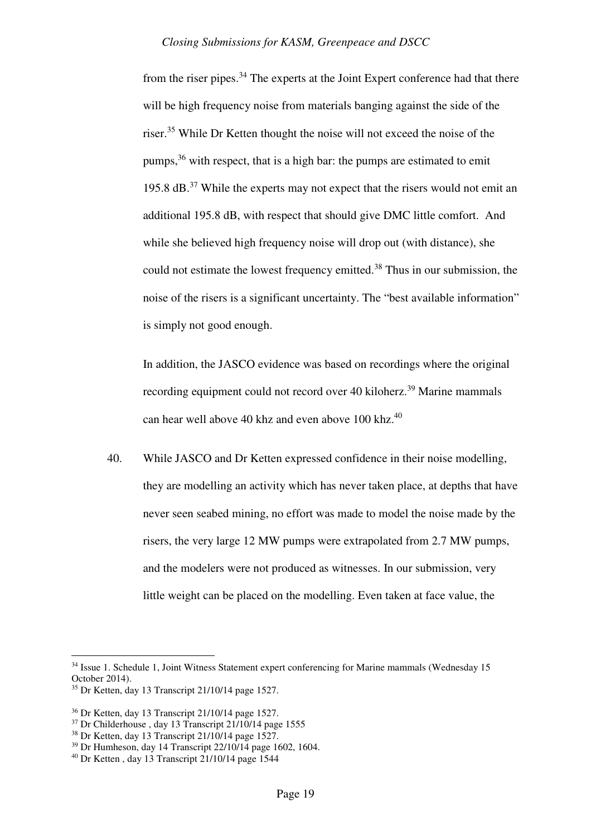from the riser pipes.<sup>34</sup> The experts at the Joint Expert conference had that there will be high frequency noise from materials banging against the side of the riser.<sup>35</sup> While Dr Ketten thought the noise will not exceed the noise of the pumps,  $36$  with respect, that is a high bar: the pumps are estimated to emit 195.8 dB.<sup>37</sup> While the experts may not expect that the risers would not emit an additional 195.8 dB, with respect that should give DMC little comfort. And while she believed high frequency noise will drop out (with distance), she could not estimate the lowest frequency emitted.<sup>38</sup> Thus in our submission, the noise of the risers is a significant uncertainty. The "best available information" is simply not good enough.

In addition, the JASCO evidence was based on recordings where the original recording equipment could not record over 40 kiloherz.<sup>39</sup> Marine mammals can hear well above 40 khz and even above 100 khz.<sup>40</sup>

40. While JASCO and Dr Ketten expressed confidence in their noise modelling, they are modelling an activity which has never taken place, at depths that have never seen seabed mining, no effort was made to model the noise made by the risers, the very large 12 MW pumps were extrapolated from 2.7 MW pumps, and the modelers were not produced as witnesses. In our submission, very little weight can be placed on the modelling. Even taken at face value, the

<sup>&</sup>lt;sup>34</sup> Issue 1. Schedule 1, Joint Witness Statement expert conferencing for Marine mammals (Wednesday 15 October 2014).

<sup>35</sup> Dr Ketten, day 13 Transcript 21/10/14 page 1527.

<sup>36</sup> Dr Ketten, day 13 Transcript 21/10/14 page 1527.

<sup>37</sup> Dr Childerhouse , day 13 Transcript 21/10/14 page 1555

 $38$  Dr Ketten, day 13 Transcript 21/10/14 page 1527.

 $39$  Dr Humheson, day 14 Transcript 22/10/14 page 1602, 1604.

<sup>40</sup> Dr Ketten , day 13 Transcript 21/10/14 page 1544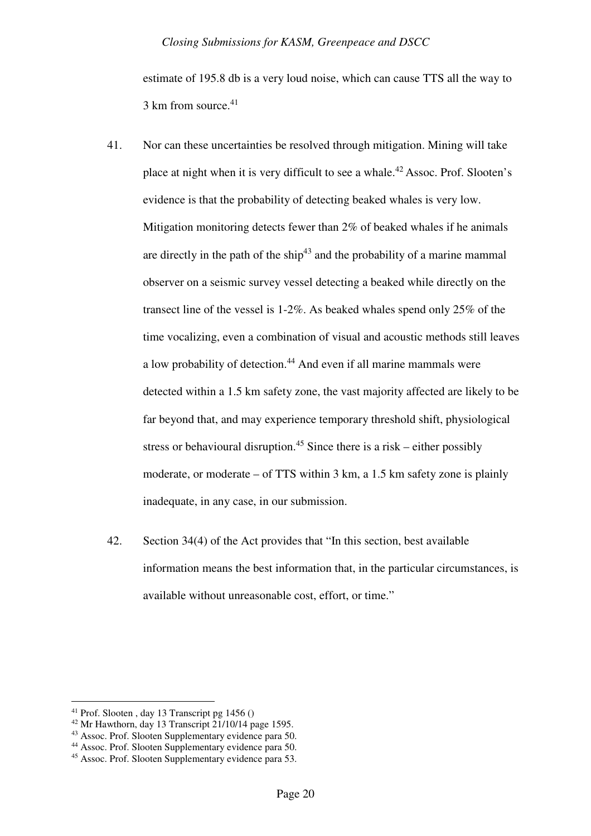estimate of 195.8 db is a very loud noise, which can cause TTS all the way to 3 km from source.<sup>41</sup>

- 41. Nor can these uncertainties be resolved through mitigation. Mining will take place at night when it is very difficult to see a whale.<sup>42</sup>Assoc. Prof. Slooten's evidence is that the probability of detecting beaked whales is very low. Mitigation monitoring detects fewer than 2% of beaked whales if he animals are directly in the path of the ship<sup> $43$ </sup> and the probability of a marine mammal observer on a seismic survey vessel detecting a beaked while directly on the transect line of the vessel is 1-2%. As beaked whales spend only 25% of the time vocalizing, even a combination of visual and acoustic methods still leaves a low probability of detection.<sup>44</sup> And even if all marine mammals were detected within a 1.5 km safety zone, the vast majority affected are likely to be far beyond that, and may experience temporary threshold shift, physiological stress or behavioural disruption.<sup>45</sup> Since there is a risk – either possibly moderate, or moderate – of TTS within 3 km, a 1.5 km safety zone is plainly inadequate, in any case, in our submission.
- 42. Section 34(4) of the Act provides that "In this section, best available information means the best information that, in the particular circumstances, is available without unreasonable cost, effort, or time."

<sup>&</sup>lt;sup>41</sup> Prof. Slooten, day 13 Transcript pg  $1456()$ 

 $42$  Mr Hawthorn, day 13 Transcript  $21/10/14$  page 1595.

<sup>43</sup> Assoc. Prof. Slooten Supplementary evidence para 50.

<sup>44</sup> Assoc. Prof. Slooten Supplementary evidence para 50.

<sup>45</sup> Assoc. Prof. Slooten Supplementary evidence para 53.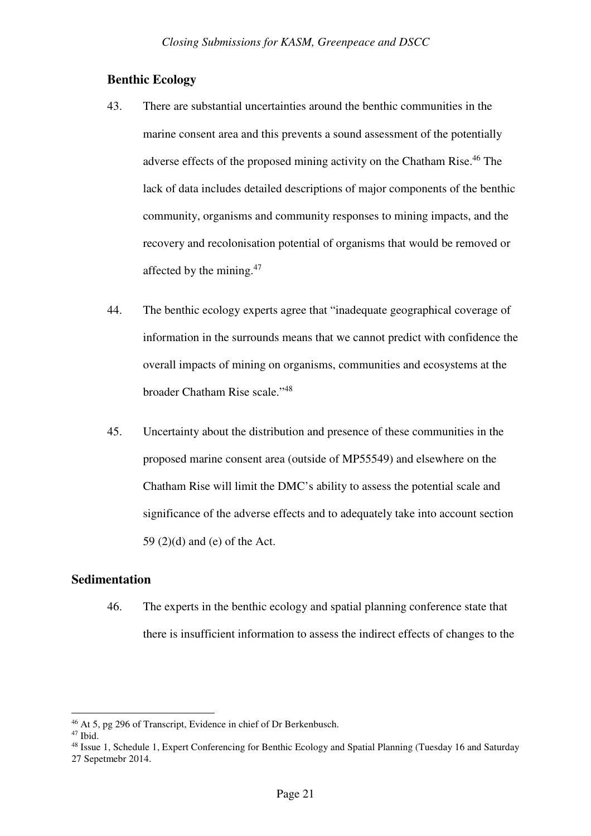## **Benthic Ecology**

- 43. There are substantial uncertainties around the benthic communities in the marine consent area and this prevents a sound assessment of the potentially adverse effects of the proposed mining activity on the Chatham Rise.<sup>46</sup> The lack of data includes detailed descriptions of major components of the benthic community, organisms and community responses to mining impacts, and the recovery and recolonisation potential of organisms that would be removed or affected by the mining.<sup>47</sup>
- 44. The benthic ecology experts agree that "inadequate geographical coverage of information in the surrounds means that we cannot predict with confidence the overall impacts of mining on organisms, communities and ecosystems at the broader Chatham Rise scale."<sup>48</sup>
- 45. Uncertainty about the distribution and presence of these communities in the proposed marine consent area (outside of MP55549) and elsewhere on the Chatham Rise will limit the DMC's ability to assess the potential scale and significance of the adverse effects and to adequately take into account section 59 (2)(d) and (e) of the Act.

## **Sedimentation**

46. The experts in the benthic ecology and spatial planning conference state that there is insufficient information to assess the indirect effects of changes to the

<sup>46</sup> At 5, pg 296 of Transcript, Evidence in chief of Dr Berkenbusch.

 $47$  Ibid.

<sup>48</sup> Issue 1, Schedule 1, Expert Conferencing for Benthic Ecology and Spatial Planning (Tuesday 16 and Saturday 27 Sepetmebr 2014.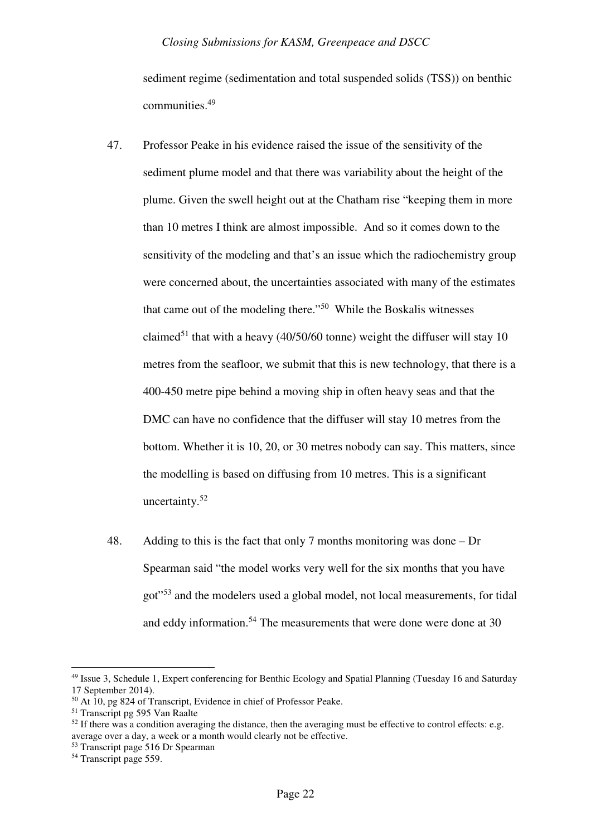sediment regime (sedimentation and total suspended solids (TSS)) on benthic communities.<sup>49</sup>

- 47. Professor Peake in his evidence raised the issue of the sensitivity of the sediment plume model and that there was variability about the height of the plume. Given the swell height out at the Chatham rise "keeping them in more than 10 metres I think are almost impossible. And so it comes down to the sensitivity of the modeling and that's an issue which the radiochemistry group were concerned about, the uncertainties associated with many of the estimates that came out of the modeling there."<sup>50</sup> While the Boskalis witnesses claimed<sup>51</sup> that with a heavy (40/50/60 tonne) weight the diffuser will stay 10 metres from the seafloor, we submit that this is new technology, that there is a 400-450 metre pipe behind a moving ship in often heavy seas and that the DMC can have no confidence that the diffuser will stay 10 metres from the bottom. Whether it is 10, 20, or 30 metres nobody can say. This matters, since the modelling is based on diffusing from 10 metres. This is a significant uncertainty. $52$
- 48. Adding to this is the fact that only 7 months monitoring was done Dr Spearman said "the model works very well for the six months that you have got"<sup>53</sup> and the modelers used a global model, not local measurements, for tidal and eddy information.<sup>54</sup> The measurements that were done were done at 30

<sup>49</sup> Issue 3, Schedule 1, Expert conferencing for Benthic Ecology and Spatial Planning (Tuesday 16 and Saturday 17 September 2014).

<sup>50</sup> At 10, pg 824 of Transcript, Evidence in chief of Professor Peake.

<sup>51</sup> Transcript pg 595 Van Raalte

 $52$  If there was a condition averaging the distance, then the averaging must be effective to control effects: e.g. average over a day, a week or a month would clearly not be effective.

<sup>53</sup> Transcript page 516 Dr Spearman

<sup>&</sup>lt;sup>54</sup> Transcript page 559.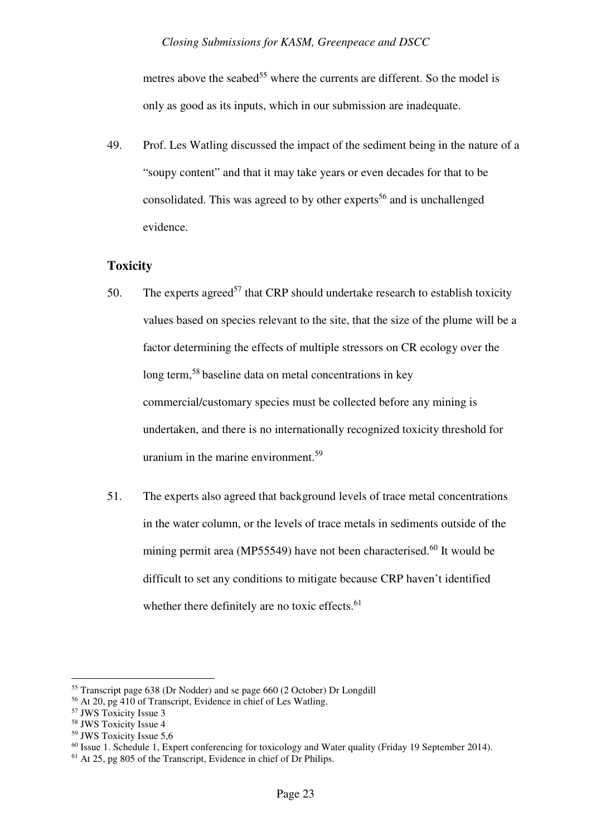metres above the seabed<sup>55</sup> where the currents are different. So the model is only as good as its inputs, which in our submission are inadequate.

49. Prof. Les Watling discussed the impact of the sediment being in the nature of a "soupy content" and that it may take years or even decades for that to be consolidated. This was agreed to by other experts<sup>56</sup> and is unchallenged evidence.

## **Toxicity**

- 50. The experts agreed<sup>57</sup> that CRP should undertake research to establish toxicity values based on species relevant to the site, that the size of the plume will be a factor determining the effects of multiple stressors on CR ecology over the long term,<sup>58</sup> baseline data on metal concentrations in key commercial/customary species must be collected before any mining is undertaken, and there is no internationally recognized toxicity threshold for uranium in the marine environment.<sup>59</sup>
- 51. The experts also agreed that background levels of trace metal concentrations in the water column, or the levels of trace metals in sediments outside of the mining permit area (MP55549) have not been characterised.<sup>60</sup> It would be difficult to set any conditions to mitigate because CRP haven't identified whether there definitely are no toxic effects. $61$

<sup>&</sup>lt;sup>55</sup> Transcript page 638 (Dr Nodder) and se page 660 (2 October) Dr Longdill

<sup>56</sup> At 20, pg 410 of Transcript, Evidence in chief of Les Watling.

<sup>57</sup> JWS Toxicity Issue 3

<sup>58</sup> JWS Toxicity Issue 4

<sup>59</sup> JWS Toxicity Issue 5,6

 $60$  Issue 1. Schedule 1, Expert conferencing for toxicology and Water quality (Friday 19 September 2014).

<sup>61</sup> At 25, pg 805 of the Transcript, Evidence in chief of Dr Philips.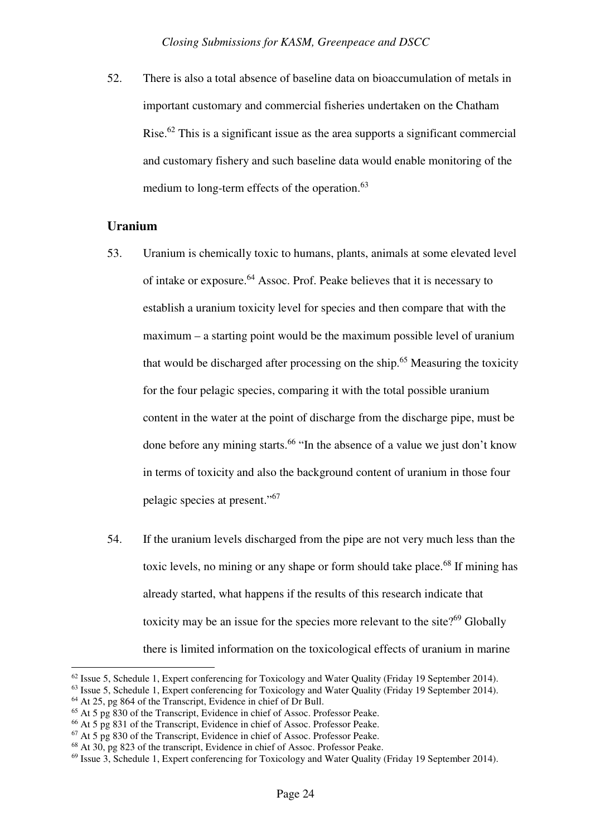52. There is also a total absence of baseline data on bioaccumulation of metals in important customary and commercial fisheries undertaken on the Chatham Rise.<sup>62</sup> This is a significant issue as the area supports a significant commercial and customary fishery and such baseline data would enable monitoring of the medium to long-term effects of the operation.<sup>63</sup>

## **Uranium**

- 53. Uranium is chemically toxic to humans, plants, animals at some elevated level of intake or exposure.<sup>64</sup> Assoc. Prof. Peake believes that it is necessary to establish a uranium toxicity level for species and then compare that with the maximum – a starting point would be the maximum possible level of uranium that would be discharged after processing on the ship.<sup>65</sup> Measuring the toxicity for the four pelagic species, comparing it with the total possible uranium content in the water at the point of discharge from the discharge pipe, must be done before any mining starts.<sup>66</sup> "In the absence of a value we just don't know in terms of toxicity and also the background content of uranium in those four pelagic species at present."<sup>67</sup>
- 54. If the uranium levels discharged from the pipe are not very much less than the toxic levels, no mining or any shape or form should take place.<sup>68</sup> If mining has already started, what happens if the results of this research indicate that toxicity may be an issue for the species more relevant to the site? $69$  Globally there is limited information on the toxicological effects of uranium in marine

<sup>&</sup>lt;sup>62</sup> Issue 5, Schedule 1, Expert conferencing for Toxicology and Water Quality (Friday 19 September 2014).

<sup>&</sup>lt;sup>63</sup> Issue 5, Schedule 1, Expert conferencing for Toxicology and Water Quality (Friday 19 September 2014).

 $64$  At 25, pg 864 of the Transcript, Evidence in chief of Dr Bull.

<sup>65</sup> At 5 pg 830 of the Transcript, Evidence in chief of Assoc. Professor Peake.

<sup>66</sup> At 5 pg 831 of the Transcript, Evidence in chief of Assoc. Professor Peake.

<sup>67</sup> At 5 pg 830 of the Transcript, Evidence in chief of Assoc. Professor Peake.

<sup>68</sup> At 30, pg 823 of the transcript, Evidence in chief of Assoc. Professor Peake.

<sup>69</sup> Issue 3, Schedule 1, Expert conferencing for Toxicology and Water Quality (Friday 19 September 2014).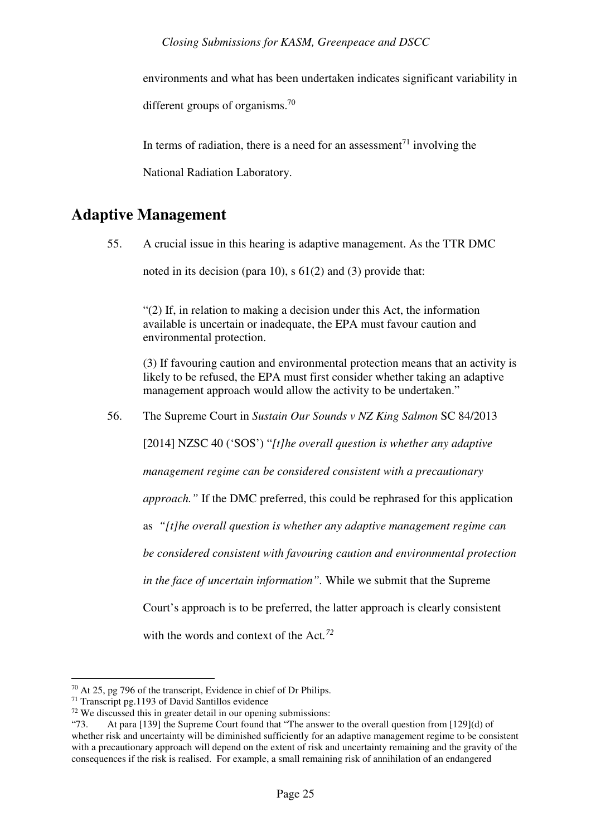environments and what has been undertaken indicates significant variability in

different groups of organisms.<sup>70</sup>

In terms of radiation, there is a need for an assessment<sup> $71$ </sup> involving the

National Radiation Laboratory.

## **Adaptive Management**

55. A crucial issue in this hearing is adaptive management. As the TTR DMC noted in its decision (para 10), s 61(2) and (3) provide that:

"(2) If, in relation to making a decision under this Act, the information available is uncertain or inadequate, the EPA must favour caution and environmental protection.

(3) If favouring caution and environmental protection means that an activity is likely to be refused, the EPA must first consider whether taking an adaptive management approach would allow the activity to be undertaken."

56. The Supreme Court in *Sustain Our Sounds v NZ King Salmon* SC 84/2013

[2014] NZSC 40 ('SOS') "*[t]he overall question is whether any adaptive* 

*management regime can be considered consistent with a precautionary* 

*approach."* If the DMC preferred, this could be rephrased for this application

as *"[t]he overall question is whether any adaptive management regime can* 

*be considered consistent with favouring caution and environmental protection* 

*in the face of uncertain information".* While we submit that the Supreme

Court's approach is to be preferred, the latter approach is clearly consistent

with the words and context of the Act*. 72*

 $\overline{a}$ <sup>70</sup> At 25, pg 796 of the transcript, Evidence in chief of Dr Philips.

 $71$  Transcript pg. 1193 of David Santillos evidence

 $72$  We discussed this in greater detail in our opening submissions:

<sup>&</sup>quot;73. At para [139] the Supreme Court found that "The answer to the overall question from [129](d) of whether risk and uncertainty will be diminished sufficiently for an adaptive management regime to be consistent with a precautionary approach will depend on the extent of risk and uncertainty remaining and the gravity of the consequences if the risk is realised. For example, a small remaining risk of annihilation of an endangered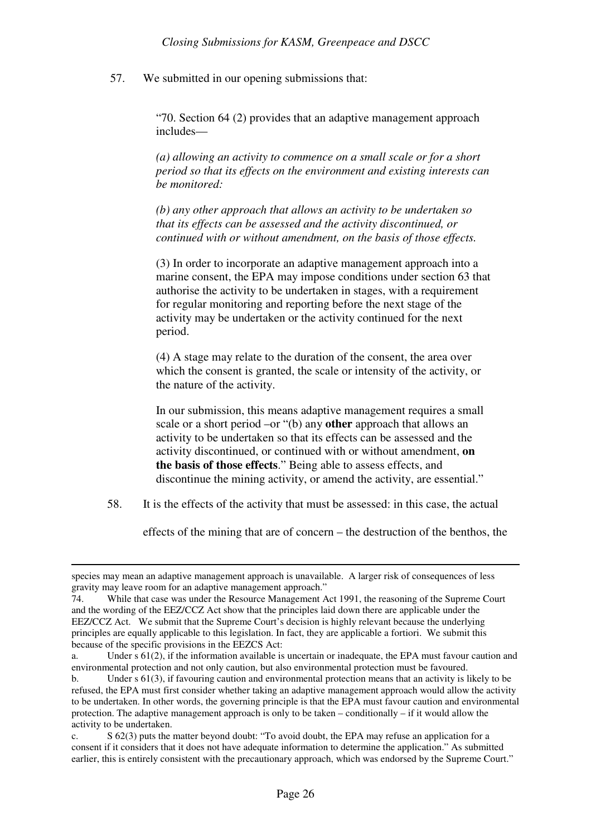57. We submitted in our opening submissions that:

"70. Section 64 (2) provides that an adaptive management approach includes—

*(a) allowing an activity to commence on a small scale or for a short period so that its effects on the environment and existing interests can be monitored:* 

*(b) any other approach that allows an activity to be undertaken so that its effects can be assessed and the activity discontinued, or continued with or without amendment, on the basis of those effects.* 

(3) In order to incorporate an adaptive management approach into a marine consent, the EPA may impose conditions under section 63 that authorise the activity to be undertaken in stages, with a requirement for regular monitoring and reporting before the next stage of the activity may be undertaken or the activity continued for the next period.

(4) A stage may relate to the duration of the consent, the area over which the consent is granted, the scale or intensity of the activity, or the nature of the activity.

In our submission, this means adaptive management requires a small scale or a short period –or "(b) any **other** approach that allows an activity to be undertaken so that its effects can be assessed and the activity discontinued, or continued with or without amendment, **on the basis of those effects**." Being able to assess effects, and discontinue the mining activity, or amend the activity, are essential."

58. It is the effects of the activity that must be assessed: in this case, the actual

effects of the mining that are of concern – the destruction of the benthos, the

species may mean an adaptive management approach is unavailable. A larger risk of consequences of less gravity may leave room for an adaptive management approach."

<sup>74.</sup> While that case was under the Resource Management Act 1991, the reasoning of the Supreme Court and the wording of the EEZ/CCZ Act show that the principles laid down there are applicable under the EEZ/CCZ Act. We submit that the Supreme Court's decision is highly relevant because the underlying principles are equally applicable to this legislation. In fact, they are applicable a fortiori. We submit this because of the specific provisions in the EEZCS Act:

a. Under s 61(2), if the information available is uncertain or inadequate, the EPA must favour caution and environmental protection and not only caution, but also environmental protection must be favoured.

b. Under s 61(3), if favouring caution and environmental protection means that an activity is likely to be refused, the EPA must first consider whether taking an adaptive management approach would allow the activity to be undertaken. In other words, the governing principle is that the EPA must favour caution and environmental protection. The adaptive management approach is only to be taken – conditionally – if it would allow the activity to be undertaken.

c. S 62(3) puts the matter beyond doubt: "To avoid doubt, the EPA may refuse an application for a consent if it considers that it does not have adequate information to determine the application." As submitted earlier, this is entirely consistent with the precautionary approach, which was endorsed by the Supreme Court."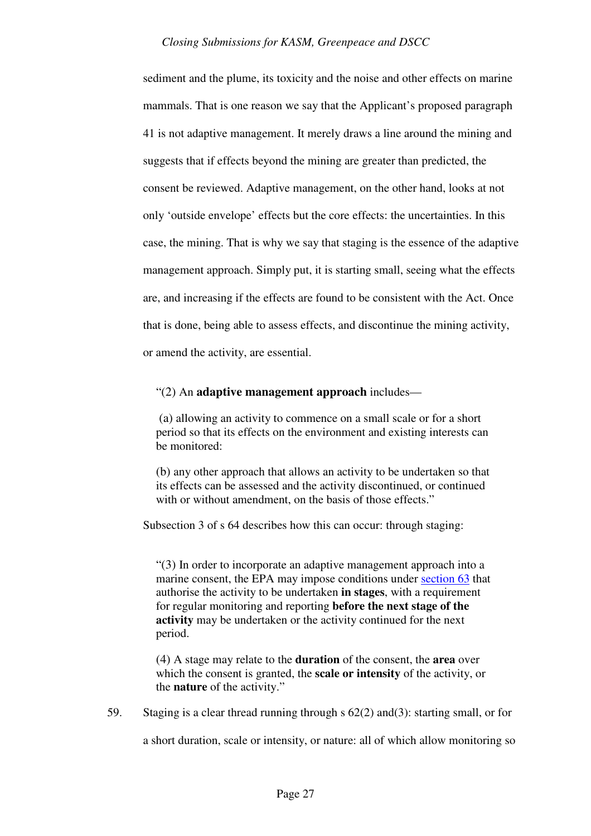sediment and the plume, its toxicity and the noise and other effects on marine mammals. That is one reason we say that the Applicant's proposed paragraph 41 is not adaptive management. It merely draws a line around the mining and suggests that if effects beyond the mining are greater than predicted, the consent be reviewed. Adaptive management, on the other hand, looks at not only 'outside envelope' effects but the core effects: the uncertainties. In this case, the mining. That is why we say that staging is the essence of the adaptive management approach. Simply put, it is starting small, seeing what the effects are, and increasing if the effects are found to be consistent with the Act. Once that is done, being able to assess effects, and discontinue the mining activity, or amend the activity, are essential.

### "(2) An **adaptive management approach** includes—

(a) allowing an activity to commence on a small scale or for a short period so that its effects on the environment and existing interests can be monitored:

(b) any other approach that allows an activity to be undertaken so that its effects can be assessed and the activity discontinued, or continued with or without amendment, on the basis of those effects."

Subsection 3 of s 64 describes how this can occur: through staging:

"(3) In order to incorporate an adaptive management approach into a marine consent, the EPA may impose conditions under section 63 that authorise the activity to be undertaken **in stages**, with a requirement for regular monitoring and reporting **before the next stage of the activity** may be undertaken or the activity continued for the next period.

(4) A stage may relate to the **duration** of the consent, the **area** over which the consent is granted, the **scale or intensity** of the activity, or the **nature** of the activity."

59. Staging is a clear thread running through s 62(2) and(3): starting small, or for

a short duration, scale or intensity, or nature: all of which allow monitoring so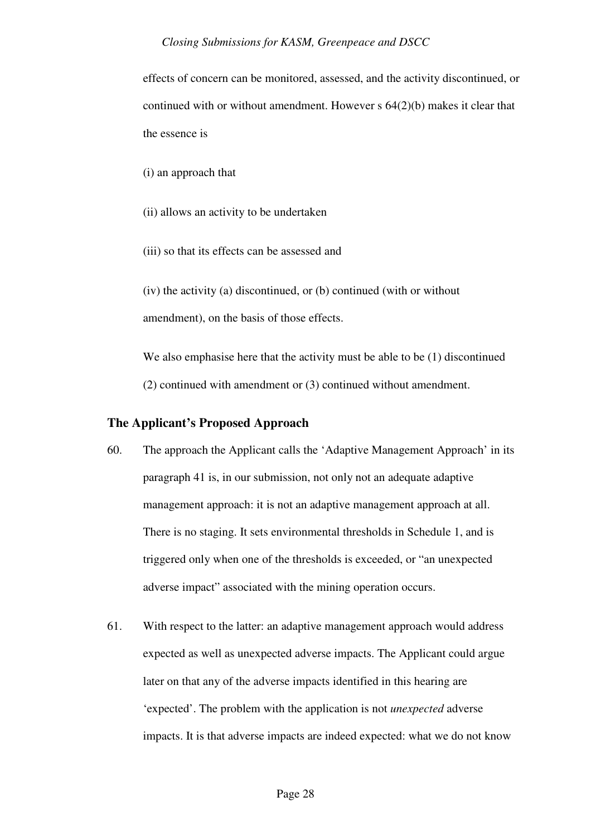effects of concern can be monitored, assessed, and the activity discontinued, or continued with or without amendment. However s 64(2)(b) makes it clear that the essence is

(i) an approach that

(ii) allows an activity to be undertaken

(iii) so that its effects can be assessed and

(iv) the activity (a) discontinued, or (b) continued (with or without amendment), on the basis of those effects.

We also emphasise here that the activity must be able to be (1) discontinued (2) continued with amendment or (3) continued without amendment.

## **The Applicant's Proposed Approach**

- 60. The approach the Applicant calls the 'Adaptive Management Approach' in its paragraph 41 is, in our submission, not only not an adequate adaptive management approach: it is not an adaptive management approach at all. There is no staging. It sets environmental thresholds in Schedule 1, and is triggered only when one of the thresholds is exceeded, or "an unexpected adverse impact" associated with the mining operation occurs.
- 61. With respect to the latter: an adaptive management approach would address expected as well as unexpected adverse impacts. The Applicant could argue later on that any of the adverse impacts identified in this hearing are 'expected'. The problem with the application is not *unexpected* adverse impacts. It is that adverse impacts are indeed expected: what we do not know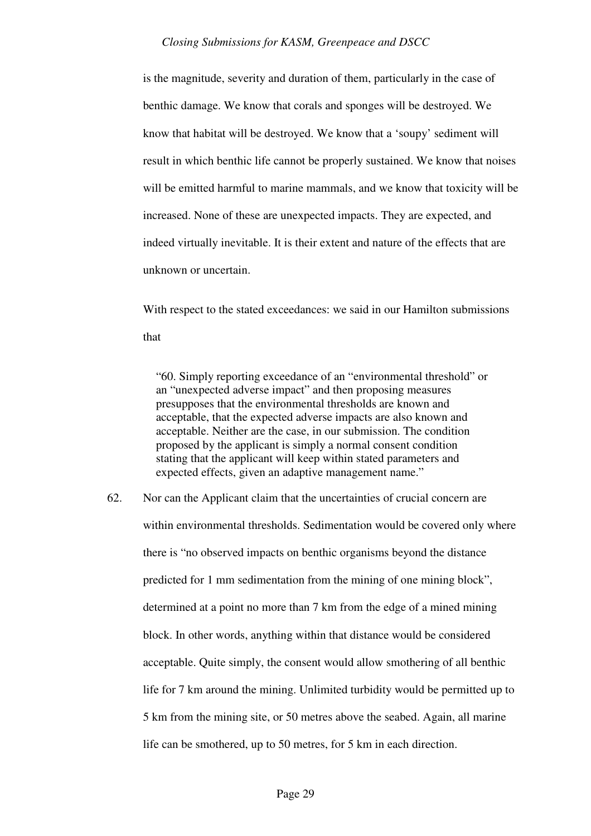is the magnitude, severity and duration of them, particularly in the case of benthic damage. We know that corals and sponges will be destroyed. We know that habitat will be destroyed. We know that a 'soupy' sediment will result in which benthic life cannot be properly sustained. We know that noises will be emitted harmful to marine mammals, and we know that toxicity will be increased. None of these are unexpected impacts. They are expected, and indeed virtually inevitable. It is their extent and nature of the effects that are unknown or uncertain.

With respect to the stated exceedances: we said in our Hamilton submissions that

"60. Simply reporting exceedance of an "environmental threshold" or an "unexpected adverse impact" and then proposing measures presupposes that the environmental thresholds are known and acceptable, that the expected adverse impacts are also known and acceptable. Neither are the case, in our submission. The condition proposed by the applicant is simply a normal consent condition stating that the applicant will keep within stated parameters and expected effects, given an adaptive management name."

62. Nor can the Applicant claim that the uncertainties of crucial concern are within environmental thresholds. Sedimentation would be covered only where there is "no observed impacts on benthic organisms beyond the distance predicted for 1 mm sedimentation from the mining of one mining block", determined at a point no more than 7 km from the edge of a mined mining block. In other words, anything within that distance would be considered acceptable. Quite simply, the consent would allow smothering of all benthic life for 7 km around the mining. Unlimited turbidity would be permitted up to 5 km from the mining site, or 50 metres above the seabed. Again, all marine life can be smothered, up to 50 metres, for 5 km in each direction.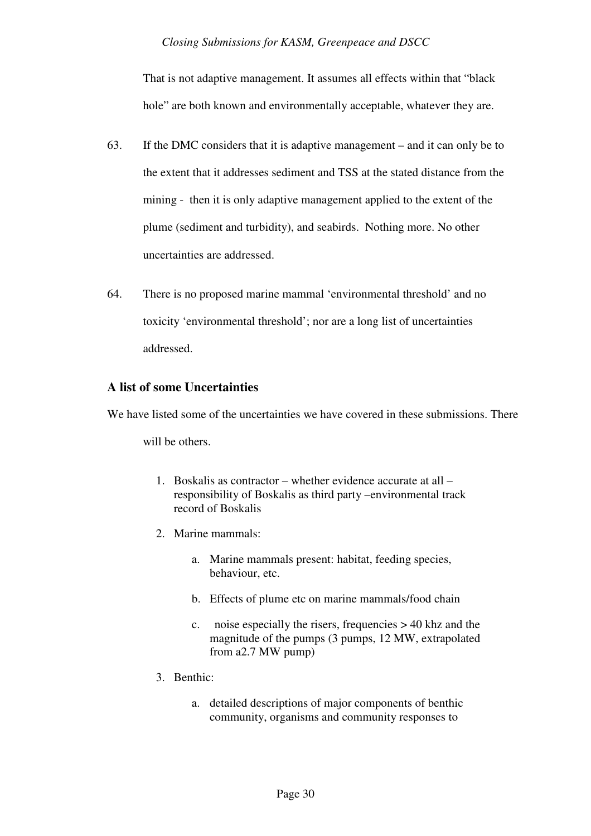That is not adaptive management. It assumes all effects within that "black hole" are both known and environmentally acceptable, whatever they are.

- 63. If the DMC considers that it is adaptive management and it can only be to the extent that it addresses sediment and TSS at the stated distance from the mining - then it is only adaptive management applied to the extent of the plume (sediment and turbidity), and seabirds. Nothing more. No other uncertainties are addressed.
- 64. There is no proposed marine mammal 'environmental threshold' and no toxicity 'environmental threshold'; nor are a long list of uncertainties addressed.

## **A list of some Uncertainties**

We have listed some of the uncertainties we have covered in these submissions. There

will be others.

- 1. Boskalis as contractor whether evidence accurate at all responsibility of Boskalis as third party –environmental track record of Boskalis
- 2. Marine mammals:
	- a. Marine mammals present: habitat, feeding species, behaviour, etc.
	- b. Effects of plume etc on marine mammals/food chain
	- c. noise especially the risers, frequencies > 40 khz and the magnitude of the pumps (3 pumps, 12 MW, extrapolated from a2.7 MW pump)
- 3. Benthic:
	- a. detailed descriptions of major components of benthic community, organisms and community responses to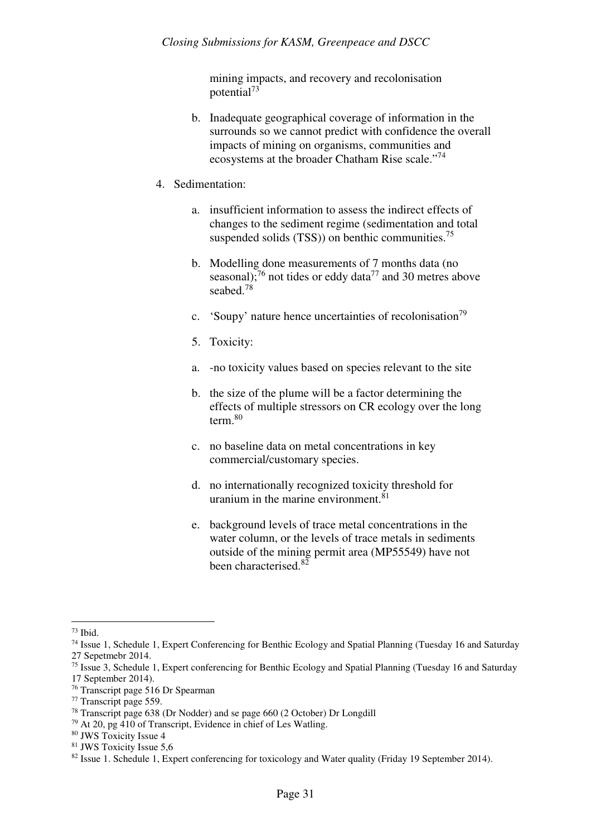mining impacts, and recovery and recolonisation potential<sup>73</sup>

- b. Inadequate geographical coverage of information in the surrounds so we cannot predict with confidence the overall impacts of mining on organisms, communities and ecosystems at the broader Chatham Rise scale."<sup>74</sup>
- 4. Sedimentation:
	- a. insufficient information to assess the indirect effects of changes to the sediment regime (sedimentation and total suspended solids  $(TSS)$  on benthic communities.<sup>75</sup>
	- b. Modelling done measurements of 7 months data (no seasonal);<sup>76</sup> not tides or eddy data<sup>77</sup> and 30 metres above seabed.<sup>78</sup>
	- c. 'Soupy' nature hence uncertainties of recolonisation<sup>79</sup>
	- 5. Toxicity:
	- a. -no toxicity values based on species relevant to the site
	- b. the size of the plume will be a factor determining the effects of multiple stressors on CR ecology over the long term.<sup>80</sup>
	- c. no baseline data on metal concentrations in key commercial/customary species.
	- d. no internationally recognized toxicity threshold for uranium in the marine environment.<sup>81</sup>
	- e. background levels of trace metal concentrations in the water column, or the levels of trace metals in sediments outside of the mining permit area (MP55549) have not been characterised.<sup>82</sup>

l

<sup>73</sup> Ibid.

<sup>74</sup> Issue 1, Schedule 1, Expert Conferencing for Benthic Ecology and Spatial Planning (Tuesday 16 and Saturday 27 Sepetmebr 2014.

<sup>75</sup> Issue 3, Schedule 1, Expert conferencing for Benthic Ecology and Spatial Planning (Tuesday 16 and Saturday 17 September 2014).

<sup>76</sup> Transcript page 516 Dr Spearman

<sup>77</sup> Transcript page 559.

<sup>78</sup> Transcript page 638 (Dr Nodder) and se page 660 (2 October) Dr Longdill

<sup>79</sup> At 20, pg 410 of Transcript, Evidence in chief of Les Watling.

<sup>80</sup> JWS Toxicity Issue 4

<sup>81</sup> JWS Toxicity Issue 5,6

<sup>&</sup>lt;sup>82</sup> Issue 1. Schedule 1, Expert conferencing for toxicology and Water quality (Friday 19 September 2014).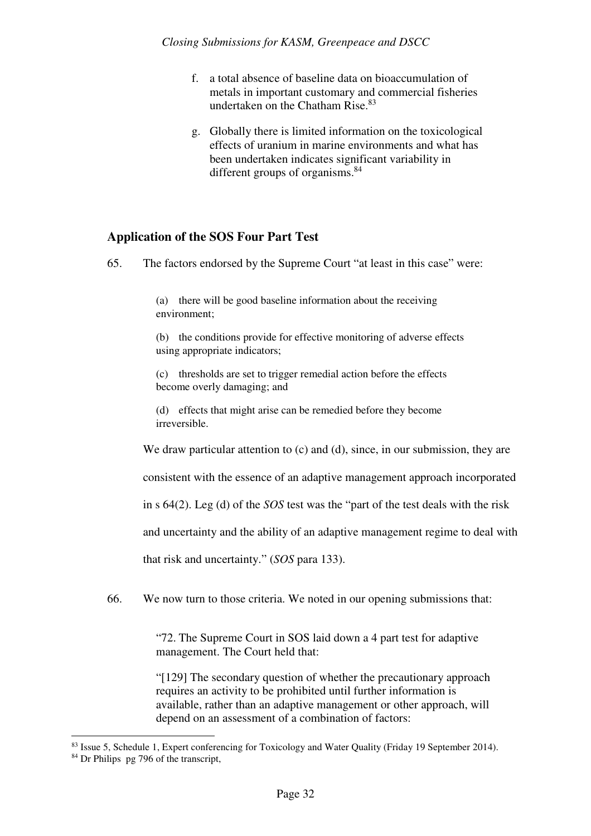- f. a total absence of baseline data on bioaccumulation of metals in important customary and commercial fisheries undertaken on the Chatham Rise.<sup>83</sup>
- g. Globally there is limited information on the toxicological effects of uranium in marine environments and what has been undertaken indicates significant variability in different groups of organisms.<sup>84</sup>

## **Application of the SOS Four Part Test**

65. The factors endorsed by the Supreme Court "at least in this case" were:

(a) there will be good baseline information about the receiving environment;

(b) the conditions provide for effective monitoring of adverse effects using appropriate indicators;

(c) thresholds are set to trigger remedial action before the effects become overly damaging; and

(d) effects that might arise can be remedied before they become irreversible.

We draw particular attention to (c) and (d), since, in our submission, they are

consistent with the essence of an adaptive management approach incorporated

in s 64(2). Leg (d) of the *SOS* test was the "part of the test deals with the risk

and uncertainty and the ability of an adaptive management regime to deal with

that risk and uncertainty." (*SOS* para 133).

66. We now turn to those criteria. We noted in our opening submissions that:

"72. The Supreme Court in SOS laid down a 4 part test for adaptive management. The Court held that:

"[129] The secondary question of whether the precautionary approach requires an activity to be prohibited until further information is available, rather than an adaptive management or other approach, will depend on an assessment of a combination of factors:

<sup>83</sup> Issue 5, Schedule 1, Expert conferencing for Toxicology and Water Quality (Friday 19 September 2014).

<sup>84</sup> Dr Philips pg 796 of the transcript,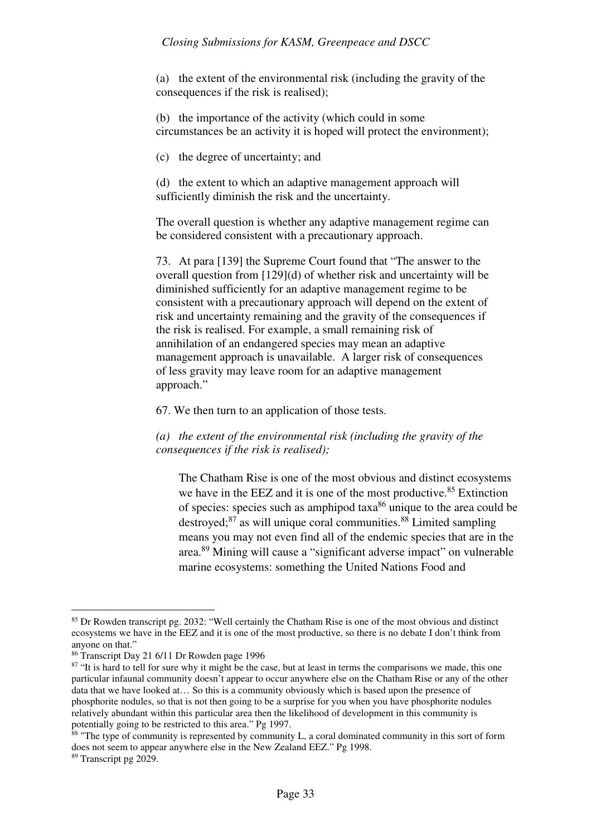(a) the extent of the environmental risk (including the gravity of the consequences if the risk is realised);

(b) the importance of the activity (which could in some circumstances be an activity it is hoped will protect the environment);

(c) the degree of uncertainty; and

(d) the extent to which an adaptive management approach will sufficiently diminish the risk and the uncertainty.

The overall question is whether any adaptive management regime can be considered consistent with a precautionary approach.

73. At para [139] the Supreme Court found that "The answer to the overall question from [129](d) of whether risk and uncertainty will be diminished sufficiently for an adaptive management regime to be consistent with a precautionary approach will depend on the extent of risk and uncertainty remaining and the gravity of the consequences if the risk is realised. For example, a small remaining risk of annihilation of an endangered species may mean an adaptive management approach is unavailable. A larger risk of consequences of less gravity may leave room for an adaptive management approach."

67. We then turn to an application of those tests.

*(a) the extent of the environmental risk (including the gravity of the consequences if the risk is realised);* 

The Chatham Rise is one of the most obvious and distinct ecosystems we have in the EEZ and it is one of the most productive.<sup>85</sup> Extinction of species: species such as amphipod taxa<sup>86</sup> unique to the area could be destroyed; $87$  as will unique coral communities. $88$  Limited sampling means you may not even find all of the endemic species that are in the area.<sup>89</sup> Mining will cause a "significant adverse impact" on vulnerable marine ecosystems: something the United Nations Food and

<sup>85</sup> Dr Rowden transcript pg. 2032: "Well certainly the Chatham Rise is one of the most obvious and distinct ecosystems we have in the EEZ and it is one of the most productive, so there is no debate I don't think from anyone on that."

<sup>86</sup> Transcript Day 21 6/11 Dr Rowden page 1996

<sup>&</sup>lt;sup>87</sup> "It is hard to tell for sure why it might be the case, but at least in terms the comparisons we made, this one particular infaunal community doesn't appear to occur anywhere else on the Chatham Rise or any of the other data that we have looked at… So this is a community obviously which is based upon the presence of phosphorite nodules, so that is not then going to be a surprise for you when you have phosphorite nodules relatively abundant within this particular area then the likelihood of development in this community is potentially going to be restricted to this area." Pg 1997.

 $88$  "The type of community is represented by community L, a coral dominated community in this sort of form does not seem to appear anywhere else in the New Zealand EEZ." Pg 1998.

<sup>89</sup> Transcript pg 2029.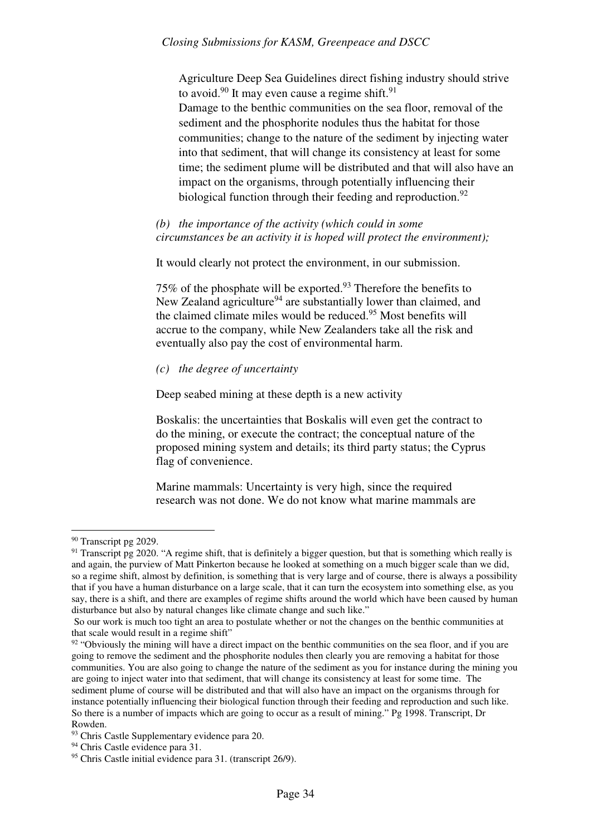Agriculture Deep Sea Guidelines direct fishing industry should strive to avoid.<sup>90</sup> It may even cause a regime shift.<sup>91</sup> Damage to the benthic communities on the sea floor, removal of the sediment and the phosphorite nodules thus the habitat for those communities; change to the nature of the sediment by injecting water into that sediment, that will change its consistency at least for some time; the sediment plume will be distributed and that will also have an impact on the organisms, through potentially influencing their biological function through their feeding and reproduction.<sup>92</sup>

*(b) the importance of the activity (which could in some circumstances be an activity it is hoped will protect the environment);* 

It would clearly not protect the environment, in our submission.

75% of the phosphate will be exported.<sup>93</sup> Therefore the benefits to New Zealand agriculture<sup>94</sup> are substantially lower than claimed, and the claimed climate miles would be reduced.<sup>95</sup> Most benefits will accrue to the company, while New Zealanders take all the risk and eventually also pay the cost of environmental harm.

## *(c) the degree of uncertainty*

Deep seabed mining at these depth is a new activity

Boskalis: the uncertainties that Boskalis will even get the contract to do the mining, or execute the contract; the conceptual nature of the proposed mining system and details; its third party status; the Cyprus flag of convenience.

Marine mammals: Uncertainty is very high, since the required research was not done. We do not know what marine mammals are

 $\overline{a}$ <sup>90</sup> Transcript pg 2029.

 $91$  Transcript pg 2020. "A regime shift, that is definitely a bigger question, but that is something which really is and again, the purview of Matt Pinkerton because he looked at something on a much bigger scale than we did, so a regime shift, almost by definition, is something that is very large and of course, there is always a possibility that if you have a human disturbance on a large scale, that it can turn the ecosystem into something else, as you say, there is a shift, and there are examples of regime shifts around the world which have been caused by human disturbance but also by natural changes like climate change and such like."

So our work is much too tight an area to postulate whether or not the changes on the benthic communities at that scale would result in a regime shift"

<sup>&</sup>lt;sup>92</sup> "Obviously the mining will have a direct impact on the benthic communities on the sea floor, and if you are going to remove the sediment and the phosphorite nodules then clearly you are removing a habitat for those communities. You are also going to change the nature of the sediment as you for instance during the mining you are going to inject water into that sediment, that will change its consistency at least for some time. The sediment plume of course will be distributed and that will also have an impact on the organisms through for instance potentially influencing their biological function through their feeding and reproduction and such like. So there is a number of impacts which are going to occur as a result of mining." Pg 1998. Transcript, Dr Rowden.

<sup>&</sup>lt;sup>93</sup> Chris Castle Supplementary evidence para 20.

<sup>&</sup>lt;sup>94</sup> Chris Castle evidence para 31.

<sup>95</sup> Chris Castle initial evidence para 31. (transcript 26/9).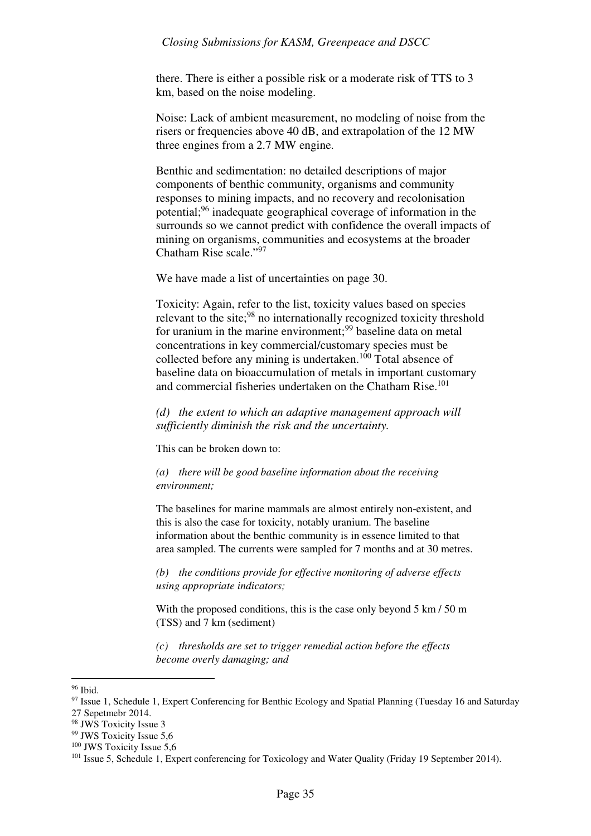there. There is either a possible risk or a moderate risk of TTS to 3 km, based on the noise modeling.

Noise: Lack of ambient measurement, no modeling of noise from the risers or frequencies above 40 dB, and extrapolation of the 12 MW three engines from a 2.7 MW engine.

Benthic and sedimentation: no detailed descriptions of major components of benthic community, organisms and community responses to mining impacts, and no recovery and recolonisation potential;<sup>96</sup> inadequate geographical coverage of information in the surrounds so we cannot predict with confidence the overall impacts of mining on organisms, communities and ecosystems at the broader Chatham Rise scale."<sup>97</sup>

We have made a list of uncertainties on page 30.

Toxicity: Again, refer to the list, toxicity values based on species relevant to the site;<sup>98</sup> no internationally recognized toxicity threshold for uranium in the marine environment;  $99$  baseline data on metal concentrations in key commercial/customary species must be collected before any mining is undertaken.<sup>100</sup> Total absence of baseline data on bioaccumulation of metals in important customary and commercial fisheries undertaken on the Chatham Rise.<sup>101</sup>

*(d) the extent to which an adaptive management approach will sufficiently diminish the risk and the uncertainty.* 

This can be broken down to:

*(a) there will be good baseline information about the receiving environment;* 

The baselines for marine mammals are almost entirely non-existent, and this is also the case for toxicity, notably uranium. The baseline information about the benthic community is in essence limited to that area sampled. The currents were sampled for 7 months and at 30 metres.

*(b) the conditions provide for effective monitoring of adverse effects using appropriate indicators;* 

With the proposed conditions, this is the case only beyond 5 km / 50 m (TSS) and 7 km (sediment)

*(c) thresholds are set to trigger remedial action before the effects become overly damaging; and* 

<sup>96</sup> Ibid.

<sup>&</sup>lt;sup>97</sup> Issue 1, Schedule 1, Expert Conferencing for Benthic Ecology and Spatial Planning (Tuesday 16 and Saturday 27 Sepetmebr 2014.

<sup>98</sup> JWS Toxicity Issue 3

<sup>99</sup> JWS Toxicity Issue 5,6

<sup>&</sup>lt;sup>100</sup> JWS Toxicity Issue 5,6

<sup>&</sup>lt;sup>101</sup> Issue 5, Schedule 1, Expert conferencing for Toxicology and Water Quality (Friday 19 September 2014).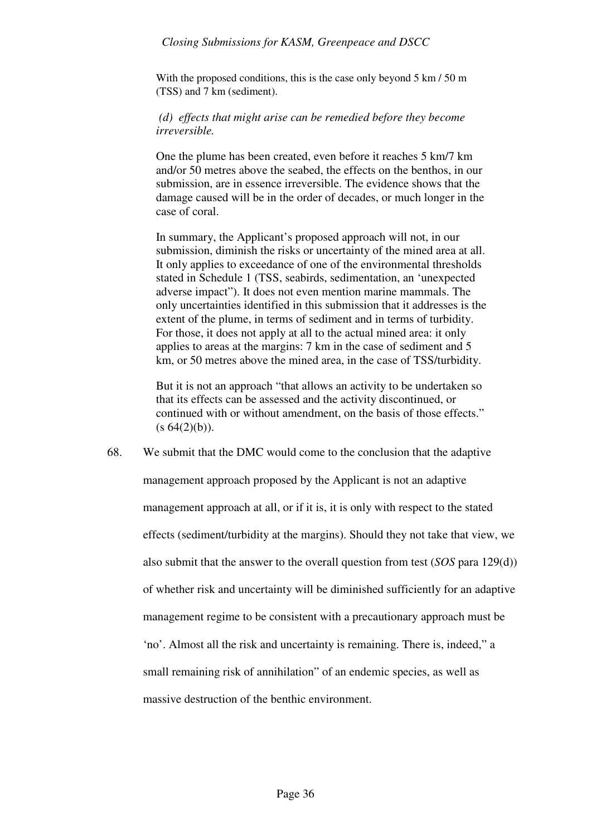With the proposed conditions, this is the case only beyond 5 km / 50 m (TSS) and 7 km (sediment).

 *(d) effects that might arise can be remedied before they become irreversible.* 

One the plume has been created, even before it reaches 5 km/7 km and/or 50 metres above the seabed, the effects on the benthos, in our submission, are in essence irreversible. The evidence shows that the damage caused will be in the order of decades, or much longer in the case of coral.

In summary, the Applicant's proposed approach will not, in our submission, diminish the risks or uncertainty of the mined area at all. It only applies to exceedance of one of the environmental thresholds stated in Schedule 1 (TSS, seabirds, sedimentation, an 'unexpected adverse impact"). It does not even mention marine mammals. The only uncertainties identified in this submission that it addresses is the extent of the plume, in terms of sediment and in terms of turbidity. For those, it does not apply at all to the actual mined area: it only applies to areas at the margins: 7 km in the case of sediment and 5 km, or 50 metres above the mined area, in the case of TSS/turbidity.

But it is not an approach "that allows an activity to be undertaken so that its effects can be assessed and the activity discontinued, or continued with or without amendment, on the basis of those effects."  $(s 64(2)(b)).$ 

68. We submit that the DMC would come to the conclusion that the adaptive management approach proposed by the Applicant is not an adaptive management approach at all, or if it is, it is only with respect to the stated effects (sediment/turbidity at the margins). Should they not take that view, we also submit that the answer to the overall question from test (*SOS* para 129(d)) of whether risk and uncertainty will be diminished sufficiently for an adaptive management regime to be consistent with a precautionary approach must be 'no'. Almost all the risk and uncertainty is remaining. There is, indeed," a small remaining risk of annihilation" of an endemic species, as well as massive destruction of the benthic environment.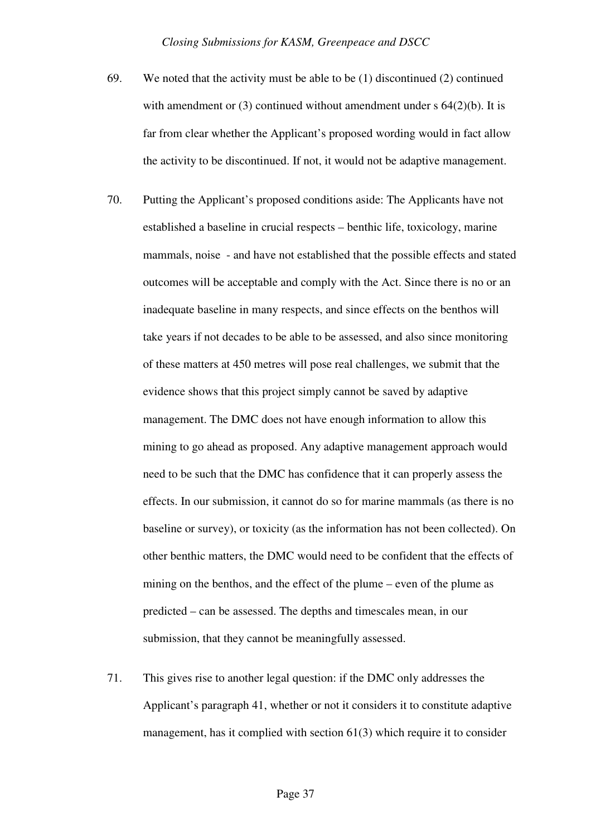- 69. We noted that the activity must be able to be (1) discontinued (2) continued with amendment or (3) continued without amendment under s 64(2)(b). It is far from clear whether the Applicant's proposed wording would in fact allow the activity to be discontinued. If not, it would not be adaptive management.
- 70. Putting the Applicant's proposed conditions aside: The Applicants have not established a baseline in crucial respects – benthic life, toxicology, marine mammals, noise - and have not established that the possible effects and stated outcomes will be acceptable and comply with the Act. Since there is no or an inadequate baseline in many respects, and since effects on the benthos will take years if not decades to be able to be assessed, and also since monitoring of these matters at 450 metres will pose real challenges, we submit that the evidence shows that this project simply cannot be saved by adaptive management. The DMC does not have enough information to allow this mining to go ahead as proposed. Any adaptive management approach would need to be such that the DMC has confidence that it can properly assess the effects. In our submission, it cannot do so for marine mammals (as there is no baseline or survey), or toxicity (as the information has not been collected). On other benthic matters, the DMC would need to be confident that the effects of mining on the benthos, and the effect of the plume – even of the plume as predicted – can be assessed. The depths and timescales mean, in our submission, that they cannot be meaningfully assessed.
- 71. This gives rise to another legal question: if the DMC only addresses the Applicant's paragraph 41, whether or not it considers it to constitute adaptive management, has it complied with section 61(3) which require it to consider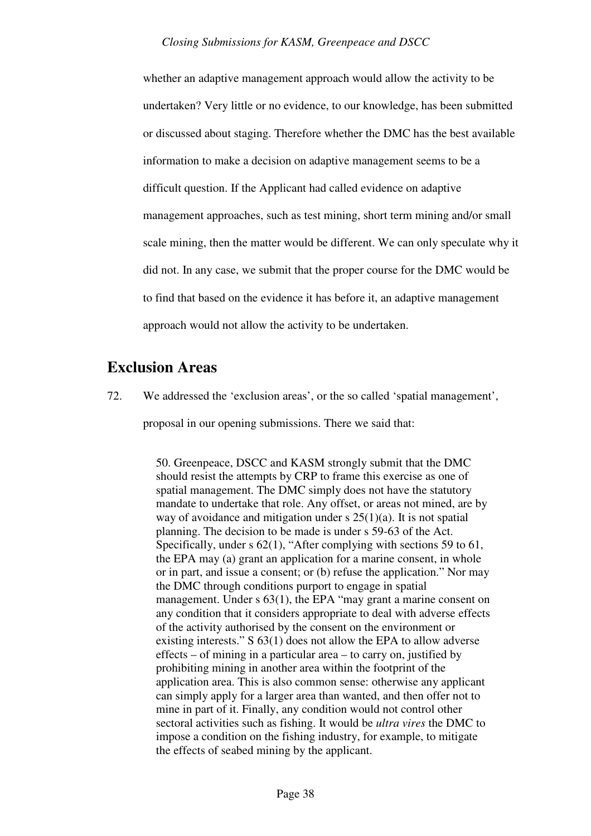whether an adaptive management approach would allow the activity to be undertaken? Very little or no evidence, to our knowledge, has been submitted or discussed about staging. Therefore whether the DMC has the best available information to make a decision on adaptive management seems to be a difficult question. If the Applicant had called evidence on adaptive management approaches, such as test mining, short term mining and/or small scale mining, then the matter would be different. We can only speculate why it did not. In any case, we submit that the proper course for the DMC would be to find that based on the evidence it has before it, an adaptive management approach would not allow the activity to be undertaken.

## **Exclusion Areas**

72. We addressed the 'exclusion areas', or the so called 'spatial management',

proposal in our opening submissions. There we said that:

50. Greenpeace, DSCC and KASM strongly submit that the DMC should resist the attempts by CRP to frame this exercise as one of spatial management. The DMC simply does not have the statutory mandate to undertake that role. Any offset, or areas not mined, are by way of avoidance and mitigation under  $s \, 25(1)(a)$ . It is not spatial planning. The decision to be made is under s 59-63 of the Act. Specifically, under s 62(1), "After complying with sections 59 to 61, the EPA may (a) grant an application for a marine consent, in whole or in part, and issue a consent; or (b) refuse the application." Nor may the DMC through conditions purport to engage in spatial management. Under s 63(1), the EPA "may grant a marine consent on any condition that it considers appropriate to deal with adverse effects of the activity authorised by the consent on the environment or existing interests." S 63(1) does not allow the EPA to allow adverse effects – of mining in a particular area – to carry on, justified by prohibiting mining in another area within the footprint of the application area. This is also common sense: otherwise any applicant can simply apply for a larger area than wanted, and then offer not to mine in part of it. Finally, any condition would not control other sectoral activities such as fishing. It would be *ultra vires* the DMC to impose a condition on the fishing industry, for example, to mitigate the effects of seabed mining by the applicant.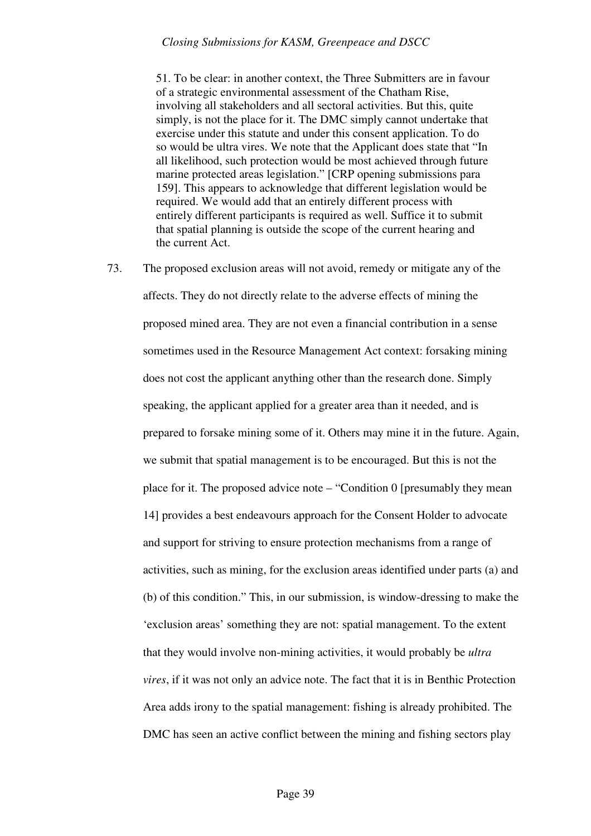51. To be clear: in another context, the Three Submitters are in favour of a strategic environmental assessment of the Chatham Rise, involving all stakeholders and all sectoral activities. But this, quite simply, is not the place for it. The DMC simply cannot undertake that exercise under this statute and under this consent application. To do so would be ultra vires. We note that the Applicant does state that "In all likelihood, such protection would be most achieved through future marine protected areas legislation." [CRP opening submissions para 159]. This appears to acknowledge that different legislation would be required. We would add that an entirely different process with entirely different participants is required as well. Suffice it to submit that spatial planning is outside the scope of the current hearing and the current Act.

73. The proposed exclusion areas will not avoid, remedy or mitigate any of the affects. They do not directly relate to the adverse effects of mining the proposed mined area. They are not even a financial contribution in a sense sometimes used in the Resource Management Act context: forsaking mining does not cost the applicant anything other than the research done. Simply speaking, the applicant applied for a greater area than it needed, and is prepared to forsake mining some of it. Others may mine it in the future. Again, we submit that spatial management is to be encouraged. But this is not the place for it. The proposed advice note – "Condition 0 [presumably they mean 14] provides a best endeavours approach for the Consent Holder to advocate and support for striving to ensure protection mechanisms from a range of activities, such as mining, for the exclusion areas identified under parts (a) and (b) of this condition." This, in our submission, is window-dressing to make the 'exclusion areas' something they are not: spatial management. To the extent that they would involve non-mining activities, it would probably be *ultra vires*, if it was not only an advice note. The fact that it is in Benthic Protection Area adds irony to the spatial management: fishing is already prohibited. The DMC has seen an active conflict between the mining and fishing sectors play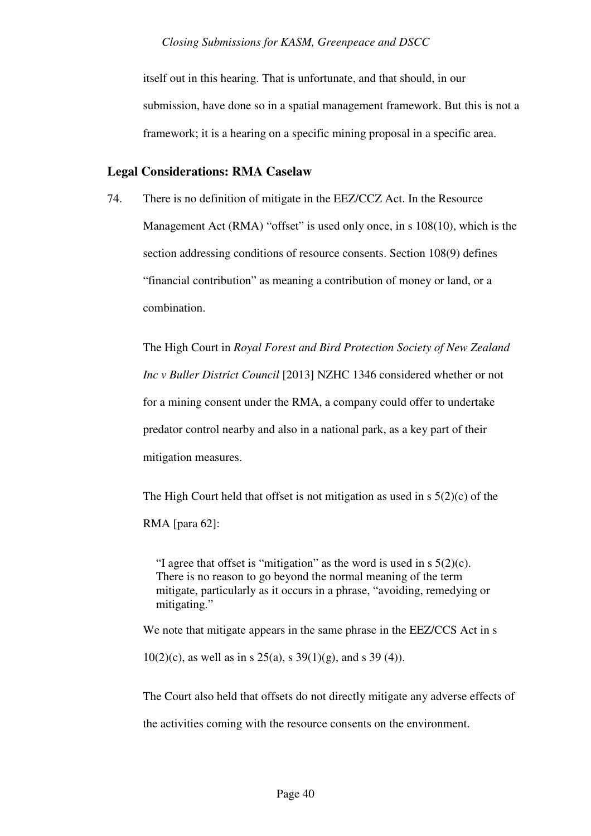itself out in this hearing. That is unfortunate, and that should, in our submission, have done so in a spatial management framework. But this is not a framework; it is a hearing on a specific mining proposal in a specific area.

## **Legal Considerations: RMA Caselaw**

74. There is no definition of mitigate in the EEZ/CCZ Act. In the Resource Management Act (RMA) "offset" is used only once, in s 108(10), which is the section addressing conditions of resource consents. Section 108(9) defines "financial contribution" as meaning a contribution of money or land, or a combination.

The High Court in *Royal Forest and Bird Protection Society of New Zealand Inc v Buller District Council* [2013] NZHC 1346 considered whether or not for a mining consent under the RMA, a company could offer to undertake predator control nearby and also in a national park, as a key part of their mitigation measures.

The High Court held that offset is not mitigation as used in s 5(2)(c) of the RMA [para 62]:

"I agree that offset is "mitigation" as the word is used in  $s \, 5(2)(c)$ . There is no reason to go beyond the normal meaning of the term mitigate, particularly as it occurs in a phrase, "avoiding, remedying or mitigating."

We note that mitigate appears in the same phrase in the EEZ/CCS Act in s

10(2)(c), as well as in s 25(a), s  $39(1)(g)$ , and s 39(4)).

The Court also held that offsets do not directly mitigate any adverse effects of

the activities coming with the resource consents on the environment.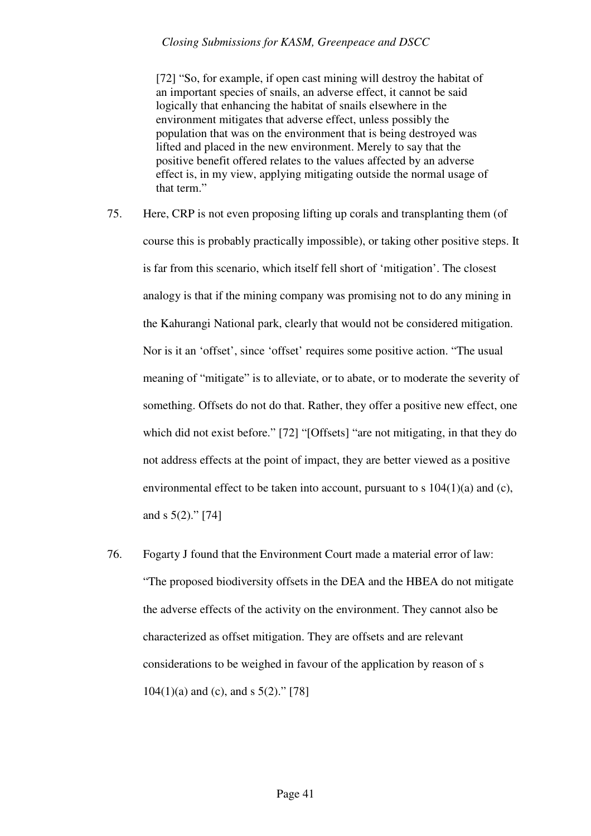[72] "So, for example, if open cast mining will destroy the habitat of an important species of snails, an adverse effect, it cannot be said logically that enhancing the habitat of snails elsewhere in the environment mitigates that adverse effect, unless possibly the population that was on the environment that is being destroyed was lifted and placed in the new environment. Merely to say that the positive benefit offered relates to the values affected by an adverse effect is, in my view, applying mitigating outside the normal usage of that term."

- 75. Here, CRP is not even proposing lifting up corals and transplanting them (of course this is probably practically impossible), or taking other positive steps. It is far from this scenario, which itself fell short of 'mitigation'. The closest analogy is that if the mining company was promising not to do any mining in the Kahurangi National park, clearly that would not be considered mitigation. Nor is it an 'offset', since 'offset' requires some positive action. "The usual meaning of "mitigate" is to alleviate, or to abate, or to moderate the severity of something. Offsets do not do that. Rather, they offer a positive new effect, one which did not exist before." [72] "[Offsets] "are not mitigating, in that they do not address effects at the point of impact, they are better viewed as a positive environmental effect to be taken into account, pursuant to s  $104(1)(a)$  and (c), and s  $5(2)$ ." [74]
- 76. Fogarty J found that the Environment Court made a material error of law: "The proposed biodiversity offsets in the DEA and the HBEA do not mitigate the adverse effects of the activity on the environment. They cannot also be characterized as offset mitigation. They are offsets and are relevant considerations to be weighed in favour of the application by reason of s  $104(1)(a)$  and (c), and s  $5(2)$ ." [78]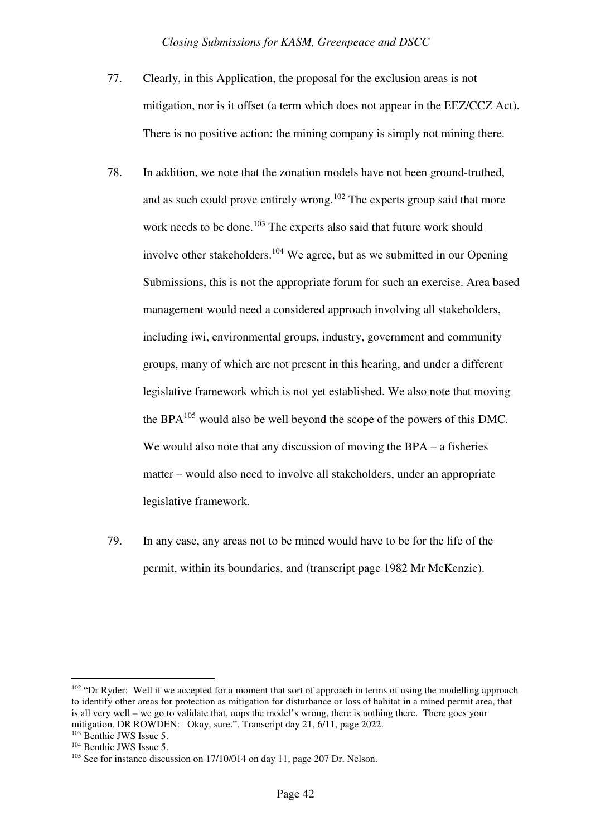- 77. Clearly, in this Application, the proposal for the exclusion areas is not mitigation, nor is it offset (a term which does not appear in the EEZ/CCZ Act). There is no positive action: the mining company is simply not mining there.
- 78. In addition, we note that the zonation models have not been ground-truthed, and as such could prove entirely wrong.<sup>102</sup> The experts group said that more work needs to be done.<sup>103</sup> The experts also said that future work should involve other stakeholders.<sup>104</sup> We agree, but as we submitted in our Opening Submissions, this is not the appropriate forum for such an exercise. Area based management would need a considered approach involving all stakeholders, including iwi, environmental groups, industry, government and community groups, many of which are not present in this hearing, and under a different legislative framework which is not yet established. We also note that moving the BPA $^{105}$  would also be well beyond the scope of the powers of this DMC. We would also note that any discussion of moving the BPA – a fisheries matter – would also need to involve all stakeholders, under an appropriate legislative framework.
- 79. In any case, any areas not to be mined would have to be for the life of the permit, within its boundaries, and (transcript page 1982 Mr McKenzie).

 $102$  "Dr Ryder: Well if we accepted for a moment that sort of approach in terms of using the modelling approach to identify other areas for protection as mitigation for disturbance or loss of habitat in a mined permit area, that is all very well – we go to validate that, oops the model's wrong, there is nothing there. There goes your mitigation. DR ROWDEN: Okay, sure.". Transcript day 21, 6/11, page 2022.

<sup>&</sup>lt;sup>103</sup> Benthic JWS Issue 5. <sup>104</sup> Benthic JWS Issue 5.

<sup>&</sup>lt;sup>105</sup> See for instance discussion on 17/10/014 on day 11, page 207 Dr. Nelson.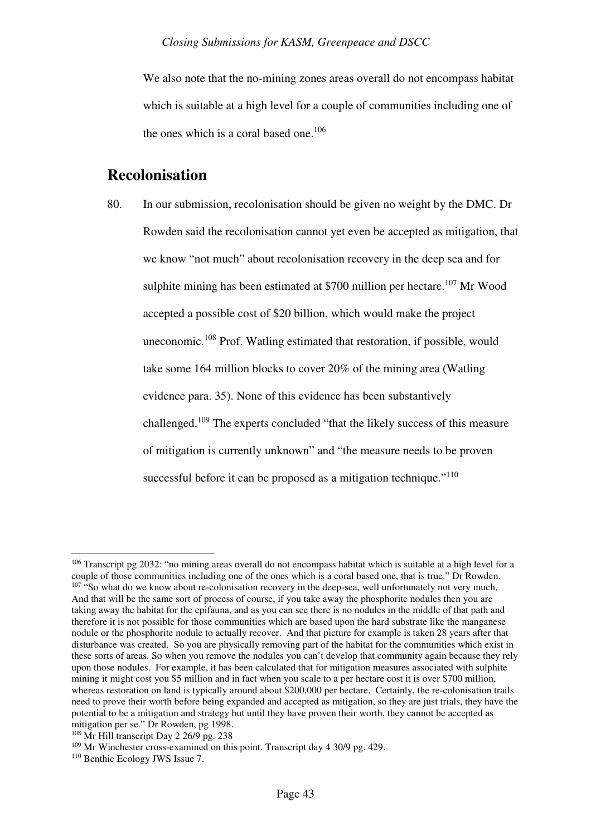We also note that the no-mining zones areas overall do not encompass habitat which is suitable at a high level for a couple of communities including one of the ones which is a coral based one.<sup>106</sup>

## **Recolonisation**

80. In our submission, recolonisation should be given no weight by the DMC. Dr Rowden said the recolonisation cannot yet even be accepted as mitigation, that we know "not much" about recolonisation recovery in the deep sea and for sulphite mining has been estimated at  $$700$  million per hectare.<sup>107</sup> Mr Wood accepted a possible cost of \$20 billion, which would make the project uneconomic.<sup>108</sup> Prof. Watling estimated that restoration, if possible, would take some 164 million blocks to cover 20% of the mining area (Watling evidence para. 35). None of this evidence has been substantively challenged.<sup>109</sup> The experts concluded "that the likely success of this measure of mitigation is currently unknown" and "the measure needs to be proven successful before it can be proposed as a mitigation technique." $110$ 

<sup>&</sup>lt;sup>106</sup> Transcript pg 2032: "no mining areas overall do not encompass habitat which is suitable at a high level for a couple of those communities including one of the ones which is a coral based one, that is true." Dr Rowden.  $107$  "So what do we know about re-colonisation recovery in the deep-sea, well unfortunately not very much, And that will be the same sort of process of course, if you take away the phosphorite nodules then you are taking away the habitat for the epifauna, and as you can see there is no nodules in the middle of that path and therefore it is not possible for those communities which are based upon the hard substrate like the manganese nodule or the phosphorite nodule to actually recover. And that picture for example is taken 28 years after that disturbance was created. So you are physically removing part of the habitat for the communities which exist in these sorts of areas. So when you remove the nodules you can't develop that community again because they rely upon those nodules. For example, it has been calculated that for mitigation measures associated with sulphite mining it might cost you \$5 million and in fact when you scale to a per hectare cost it is over \$700 million, whereas restoration on land is typically around about \$200,000 per hectare. Certainly, the re-colonisation trails need to prove their worth before being expanded and accepted as mitigation, so they are just trials, they have the potential to be a mitigation and strategy but until they have proven their worth, they cannot be accepted as mitigation per se." Dr Rowden, pg 1998.

<sup>&</sup>lt;sup>108</sup> Mr Hill transcript Day 2 26/9 pg. 238

<sup>&</sup>lt;sup>109</sup> Mr Winchester cross-examined on this point. Transcript day 4 30/9 pg. 429.

<sup>110</sup> Benthic Ecology JWS Issue 7.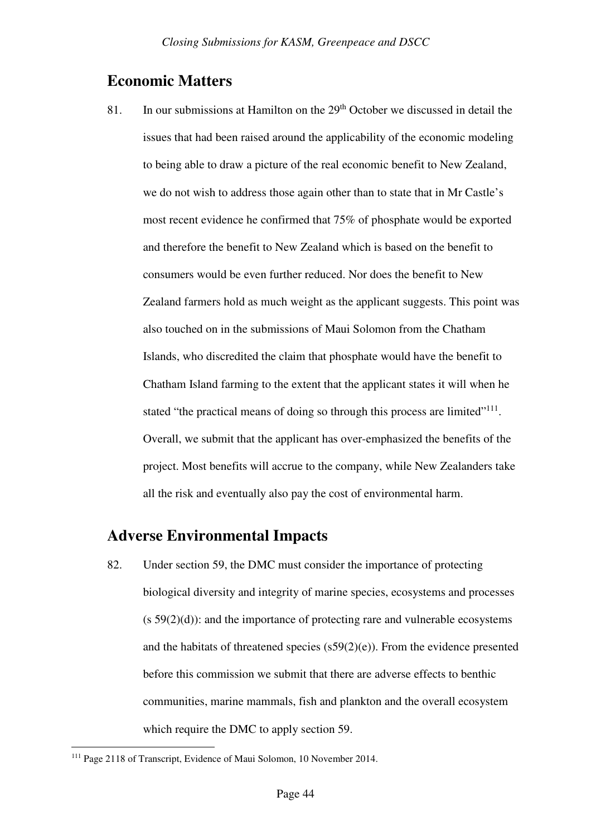## **Economic Matters**

81. In our submissions at Hamilton on the 29<sup>th</sup> October we discussed in detail the issues that had been raised around the applicability of the economic modeling to being able to draw a picture of the real economic benefit to New Zealand, we do not wish to address those again other than to state that in Mr Castle's most recent evidence he confirmed that 75% of phosphate would be exported and therefore the benefit to New Zealand which is based on the benefit to consumers would be even further reduced. Nor does the benefit to New Zealand farmers hold as much weight as the applicant suggests. This point was also touched on in the submissions of Maui Solomon from the Chatham Islands, who discredited the claim that phosphate would have the benefit to Chatham Island farming to the extent that the applicant states it will when he stated "the practical means of doing so through this process are limited"<sup>111</sup>. Overall, we submit that the applicant has over-emphasized the benefits of the project. Most benefits will accrue to the company, while New Zealanders take all the risk and eventually also pay the cost of environmental harm.

## **Adverse Environmental Impacts**

82. Under section 59, the DMC must consider the importance of protecting biological diversity and integrity of marine species, ecosystems and processes  $(s 59(2)(d))$ : and the importance of protecting rare and vulnerable ecosystems and the habitats of threatened species (s59(2)(e)). From the evidence presented before this commission we submit that there are adverse effects to benthic communities, marine mammals, fish and plankton and the overall ecosystem which require the DMC to apply section 59.

<sup>111</sup> Page 2118 of Transcript, Evidence of Maui Solomon, 10 November 2014.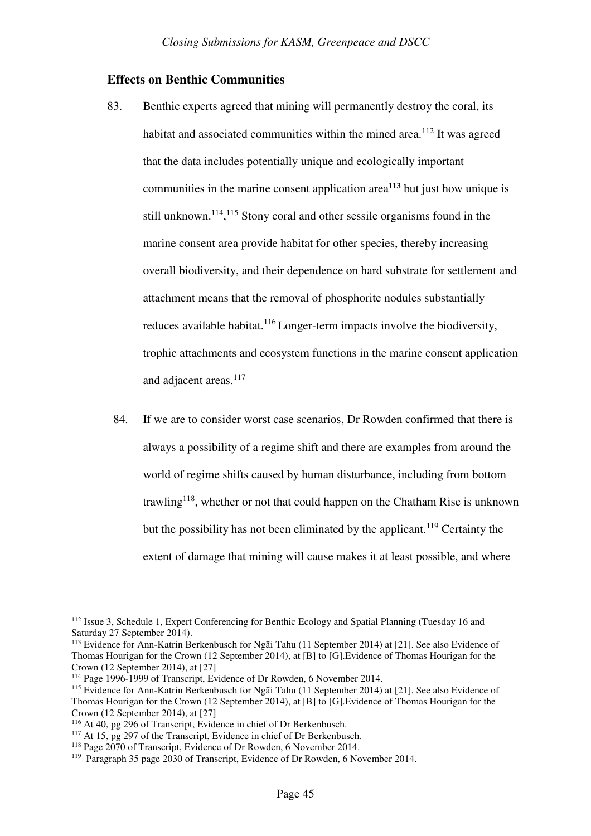## **Effects on Benthic Communities**

- 83. Benthic experts agreed that mining will permanently destroy the coral, its habitat and associated communities within the mined area.<sup>112</sup> It was agreed that the data includes potentially unique and ecologically important communities in the marine consent application area**<sup>113</sup>** but just how unique is still unknown.<sup>114</sup>,<sup>115</sup> Stony coral and other sessile organisms found in the marine consent area provide habitat for other species, thereby increasing overall biodiversity, and their dependence on hard substrate for settlement and attachment means that the removal of phosphorite nodules substantially reduces available habitat.<sup>116</sup> Longer-term impacts involve the biodiversity, trophic attachments and ecosystem functions in the marine consent application and adjacent areas.<sup>117</sup>
- 84. If we are to consider worst case scenarios, Dr Rowden confirmed that there is always a possibility of a regime shift and there are examples from around the world of regime shifts caused by human disturbance, including from bottom trawling<sup>118</sup>, whether or not that could happen on the Chatham Rise is unknown but the possibility has not been eliminated by the applicant.<sup>119</sup> Certainty the extent of damage that mining will cause makes it at least possible, and where

<sup>112</sup> Issue 3, Schedule 1, Expert Conferencing for Benthic Ecology and Spatial Planning (Tuesday 16 and Saturday 27 September 2014).

<sup>113</sup> Evidence for Ann-Katrin Berkenbusch for Ngāi Tahu (11 September 2014) at [21]. See also Evidence of Thomas Hourigan for the Crown (12 September 2014), at [B] to [G].Evidence of Thomas Hourigan for the Crown (12 September 2014), at [27]

<sup>114</sup> Page 1996-1999 of Transcript, Evidence of Dr Rowden, 6 November 2014.

<sup>&</sup>lt;sup>115</sup> Evidence for Ann-Katrin Berkenbusch for Ngāi Tahu (11 September 2014) at [21]. See also Evidence of Thomas Hourigan for the Crown (12 September 2014), at [B] to [G].Evidence of Thomas Hourigan for the Crown (12 September 2014), at [27]

<sup>116</sup> At 40, pg 296 of Transcript, Evidence in chief of Dr Berkenbusch.

<sup>&</sup>lt;sup>117</sup> At 15, pg 297 of the Transcript, Evidence in chief of Dr Berkenbusch.

<sup>&</sup>lt;sup>118</sup> Page 2070 of Transcript, Evidence of Dr Rowden, 6 November 2014.

<sup>119</sup> Paragraph 35 page 2030 of Transcript, Evidence of Dr Rowden, 6 November 2014.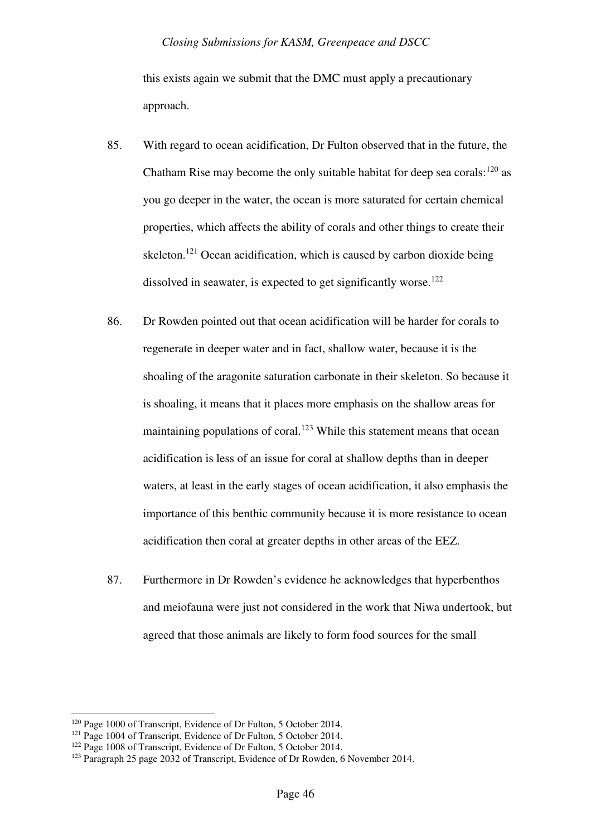this exists again we submit that the DMC must apply a precautionary approach.

- 85. With regard to ocean acidification, Dr Fulton observed that in the future, the Chatham Rise may become the only suitable habitat for deep sea corals:  $120$  as you go deeper in the water, the ocean is more saturated for certain chemical properties, which affects the ability of corals and other things to create their skeleton.<sup>121</sup> Ocean acidification, which is caused by carbon dioxide being dissolved in seawater, is expected to get significantly worse.<sup>122</sup>
- 86. Dr Rowden pointed out that ocean acidification will be harder for corals to regenerate in deeper water and in fact, shallow water, because it is the shoaling of the aragonite saturation carbonate in their skeleton. So because it is shoaling, it means that it places more emphasis on the shallow areas for maintaining populations of coral.<sup>123</sup> While this statement means that ocean acidification is less of an issue for coral at shallow depths than in deeper waters, at least in the early stages of ocean acidification, it also emphasis the importance of this benthic community because it is more resistance to ocean acidification then coral at greater depths in other areas of the EEZ.
- 87. Furthermore in Dr Rowden's evidence he acknowledges that hyperbenthos and meiofauna were just not considered in the work that Niwa undertook, but agreed that those animals are likely to form food sources for the small

<sup>120</sup> Page 1000 of Transcript, Evidence of Dr Fulton, 5 October 2014.

<sup>&</sup>lt;sup>121</sup> Page 1004 of Transcript, Evidence of Dr Fulton, 5 October 2014.

<sup>&</sup>lt;sup>122</sup> Page 1008 of Transcript, Evidence of Dr Fulton, 5 October 2014.

<sup>&</sup>lt;sup>123</sup> Paragraph 25 page 2032 of Transcript, Evidence of Dr Rowden, 6 November 2014.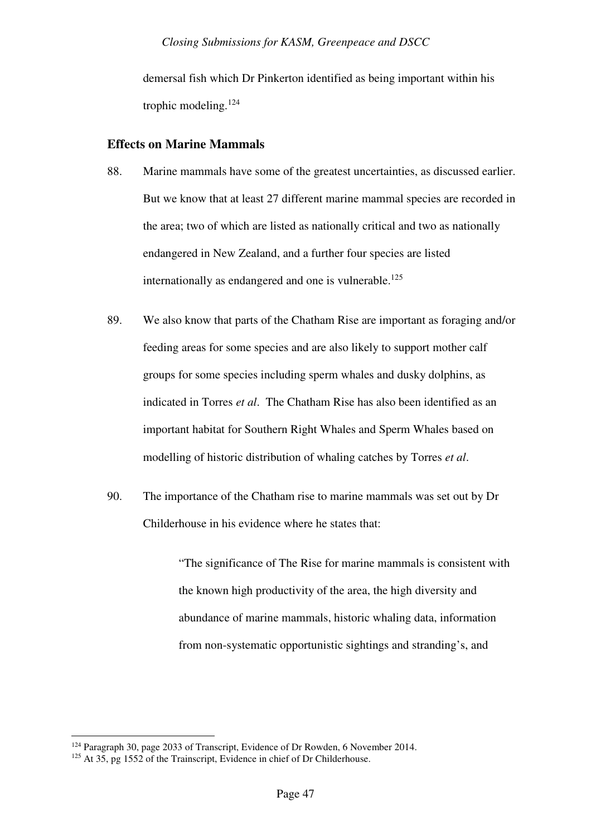demersal fish which Dr Pinkerton identified as being important within his trophic modeling.<sup>124</sup>

## **Effects on Marine Mammals**

- 88. Marine mammals have some of the greatest uncertainties, as discussed earlier. But we know that at least 27 different marine mammal species are recorded in the area; two of which are listed as nationally critical and two as nationally endangered in New Zealand, and a further four species are listed internationally as endangered and one is vulnerable.<sup>125</sup>
- 89. We also know that parts of the Chatham Rise are important as foraging and/or feeding areas for some species and are also likely to support mother calf groups for some species including sperm whales and dusky dolphins, as indicated in Torres *et al*. The Chatham Rise has also been identified as an important habitat for Southern Right Whales and Sperm Whales based on modelling of historic distribution of whaling catches by Torres *et al*.
- 90. The importance of the Chatham rise to marine mammals was set out by Dr Childerhouse in his evidence where he states that:

"The significance of The Rise for marine mammals is consistent with the known high productivity of the area, the high diversity and abundance of marine mammals, historic whaling data, information from non-systematic opportunistic sightings and stranding's, and

<sup>&</sup>lt;sup>124</sup> Paragraph 30, page 2033 of Transcript, Evidence of Dr Rowden, 6 November 2014.

<sup>&</sup>lt;sup>125</sup> At 35, pg 1552 of the Trainscript, Evidence in chief of Dr Childerhouse.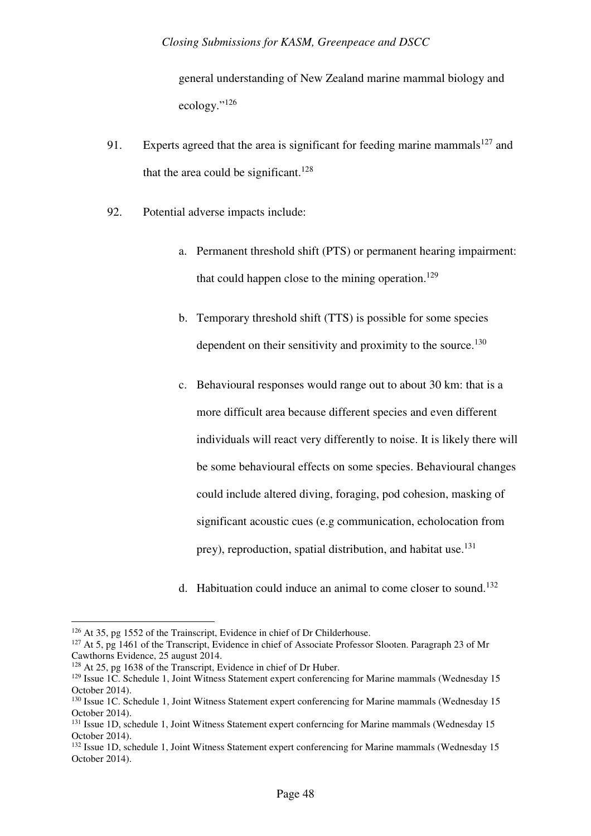general understanding of New Zealand marine mammal biology and ecology."<sup>126</sup>

- 91. Experts agreed that the area is significant for feeding marine mammals<sup>127</sup> and that the area could be significant.<sup>128</sup>
- 92. Potential adverse impacts include:
	- a. Permanent threshold shift (PTS) or permanent hearing impairment: that could happen close to the mining operation.<sup>129</sup>
	- b. Temporary threshold shift (TTS) is possible for some species dependent on their sensitivity and proximity to the source.<sup>130</sup>
	- c. Behavioural responses would range out to about 30 km: that is a more difficult area because different species and even different individuals will react very differently to noise. It is likely there will be some behavioural effects on some species. Behavioural changes could include altered diving, foraging, pod cohesion, masking of significant acoustic cues (e.g communication, echolocation from prey), reproduction, spatial distribution, and habitat use.<sup>131</sup>
	- d. Habituation could induce an animal to come closer to sound.<sup>132</sup>

l

<sup>&</sup>lt;sup>126</sup> At 35, pg 1552 of the Trainscript, Evidence in chief of Dr Childerhouse.

<sup>&</sup>lt;sup>127</sup> At 5, pg 1461 of the Transcript, Evidence in chief of Associate Professor Slooten. Paragraph 23 of Mr Cawthorns Evidence, 25 august 2014.

<sup>&</sup>lt;sup>128</sup> At 25, pg 1638 of the Transcript, Evidence in chief of Dr Huber.

<sup>&</sup>lt;sup>129</sup> Issue 1C. Schedule 1, Joint Witness Statement expert conferencing for Marine mammals (Wednesday 15 October 2014).

<sup>&</sup>lt;sup>130</sup> Issue 1C. Schedule 1, Joint Witness Statement expert conferencing for Marine mammals (Wednesday 15 October 2014).

<sup>&</sup>lt;sup>131</sup> Issue 1D, schedule 1, Joint Witness Statement expert conferncing for Marine mammals (Wednesday 15 October 2014).

<sup>&</sup>lt;sup>132</sup> Issue 1D, schedule 1, Joint Witness Statement expert conferencing for Marine mammals (Wednesday 15 October 2014).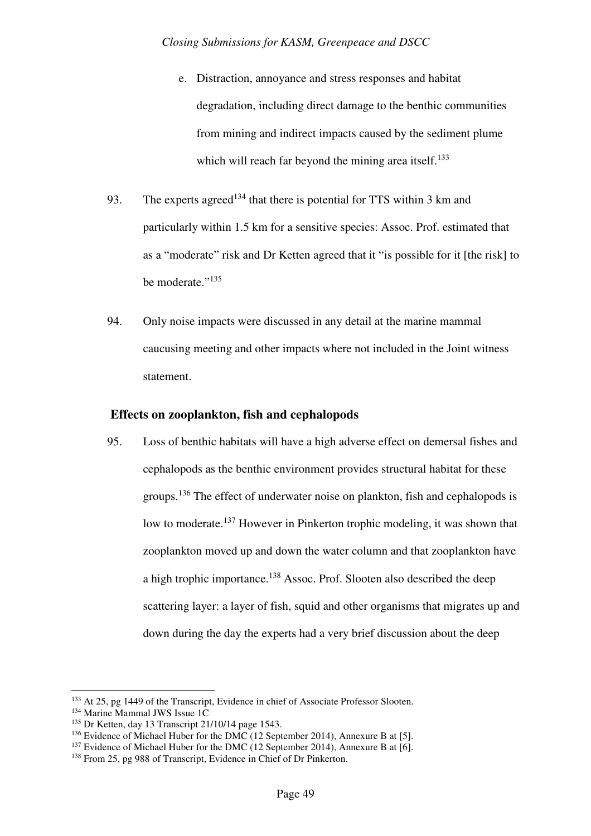- e. Distraction, annoyance and stress responses and habitat degradation, including direct damage to the benthic communities from mining and indirect impacts caused by the sediment plume which will reach far beyond the mining area itself.<sup>133</sup>
- 93. The experts agreed<sup>134</sup> that there is potential for TTS within 3 km and particularly within 1.5 km for a sensitive species: Assoc. Prof. estimated that as a "moderate" risk and Dr Ketten agreed that it "is possible for it [the risk] to be moderate."<sup>135</sup>
- 94. Only noise impacts were discussed in any detail at the marine mammal caucusing meeting and other impacts where not included in the Joint witness statement.

## **Effects on zooplankton, fish and cephalopods**

95. Loss of benthic habitats will have a high adverse effect on demersal fishes and cephalopods as the benthic environment provides structural habitat for these groups.<sup>136</sup> The effect of underwater noise on plankton, fish and cephalopods is low to moderate.<sup>137</sup> However in Pinkerton trophic modeling, it was shown that zooplankton moved up and down the water column and that zooplankton have a high trophic importance.<sup>138</sup> Assoc. Prof. Slooten also described the deep scattering layer: a layer of fish, squid and other organisms that migrates up and down during the day the experts had a very brief discussion about the deep

<sup>&</sup>lt;sup>133</sup> At 25, pg 1449 of the Transcript, Evidence in chief of Associate Professor Slooten.

<sup>&</sup>lt;sup>134</sup> Marine Mammal JWS Issue 1C

<sup>135</sup> Dr Ketten, day 13 Transcript 21/10/14 page 1543.

<sup>&</sup>lt;sup>136</sup> Evidence of Michael Huber for the DMC (12 September 2014), Annexure B at [5].

<sup>&</sup>lt;sup>137</sup> Evidence of Michael Huber for the DMC (12 September 2014), Annexure B at [6].

<sup>138</sup> From 25, pg 988 of Transcript, Evidence in Chief of Dr Pinkerton.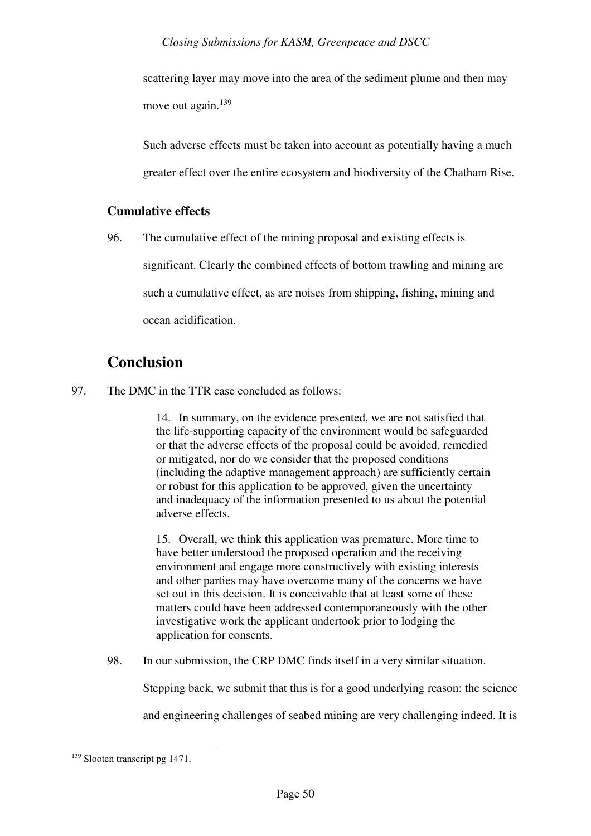scattering layer may move into the area of the sediment plume and then may move out again.<sup>139</sup>

Such adverse effects must be taken into account as potentially having a much greater effect over the entire ecosystem and biodiversity of the Chatham Rise.

## **Cumulative effects**

96. The cumulative effect of the mining proposal and existing effects is significant. Clearly the combined effects of bottom trawling and mining are such a cumulative effect, as are noises from shipping, fishing, mining and ocean acidification.

## **Conclusion**

97. The DMC in the TTR case concluded as follows:

14. In summary, on the evidence presented, we are not satisfied that the life-supporting capacity of the environment would be safeguarded or that the adverse effects of the proposal could be avoided, remedied or mitigated, nor do we consider that the proposed conditions (including the adaptive management approach) are sufficiently certain or robust for this application to be approved, given the uncertainty and inadequacy of the information presented to us about the potential adverse effects.

15. Overall, we think this application was premature. More time to have better understood the proposed operation and the receiving environment and engage more constructively with existing interests and other parties may have overcome many of the concerns we have set out in this decision. It is conceivable that at least some of these matters could have been addressed contemporaneously with the other investigative work the applicant undertook prior to lodging the application for consents.

98. In our submission, the CRP DMC finds itself in a very similar situation.

Stepping back, we submit that this is for a good underlying reason: the science

and engineering challenges of seabed mining are very challenging indeed. It is

<sup>139</sup> Slooten transcript pg 1471.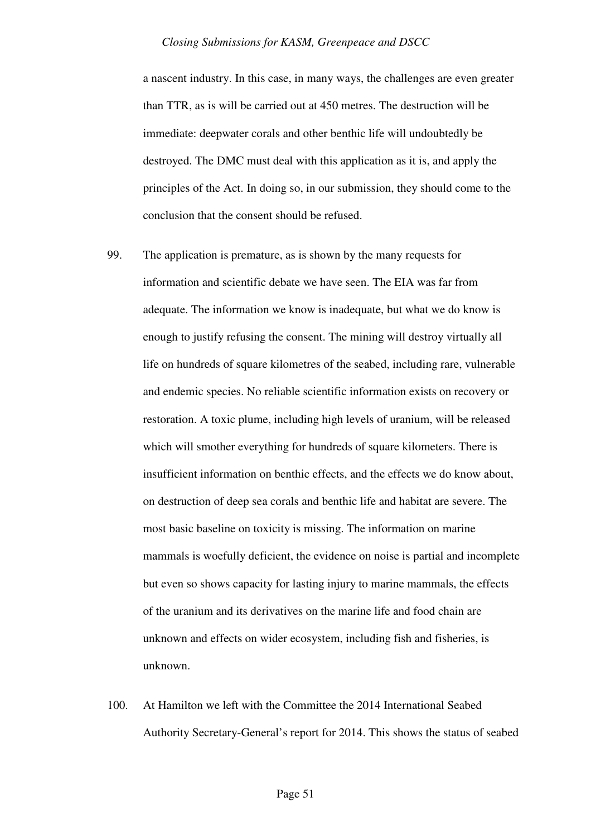a nascent industry. In this case, in many ways, the challenges are even greater than TTR, as is will be carried out at 450 metres. The destruction will be immediate: deepwater corals and other benthic life will undoubtedly be destroyed. The DMC must deal with this application as it is, and apply the principles of the Act. In doing so, in our submission, they should come to the conclusion that the consent should be refused.

- 99. The application is premature, as is shown by the many requests for information and scientific debate we have seen. The EIA was far from adequate. The information we know is inadequate, but what we do know is enough to justify refusing the consent. The mining will destroy virtually all life on hundreds of square kilometres of the seabed, including rare, vulnerable and endemic species. No reliable scientific information exists on recovery or restoration. A toxic plume, including high levels of uranium, will be released which will smother everything for hundreds of square kilometers. There is insufficient information on benthic effects, and the effects we do know about, on destruction of deep sea corals and benthic life and habitat are severe. The most basic baseline on toxicity is missing. The information on marine mammals is woefully deficient, the evidence on noise is partial and incomplete but even so shows capacity for lasting injury to marine mammals, the effects of the uranium and its derivatives on the marine life and food chain are unknown and effects on wider ecosystem, including fish and fisheries, is unknown.
- 100. At Hamilton we left with the Committee the 2014 International Seabed Authority Secretary-General's report for 2014. This shows the status of seabed